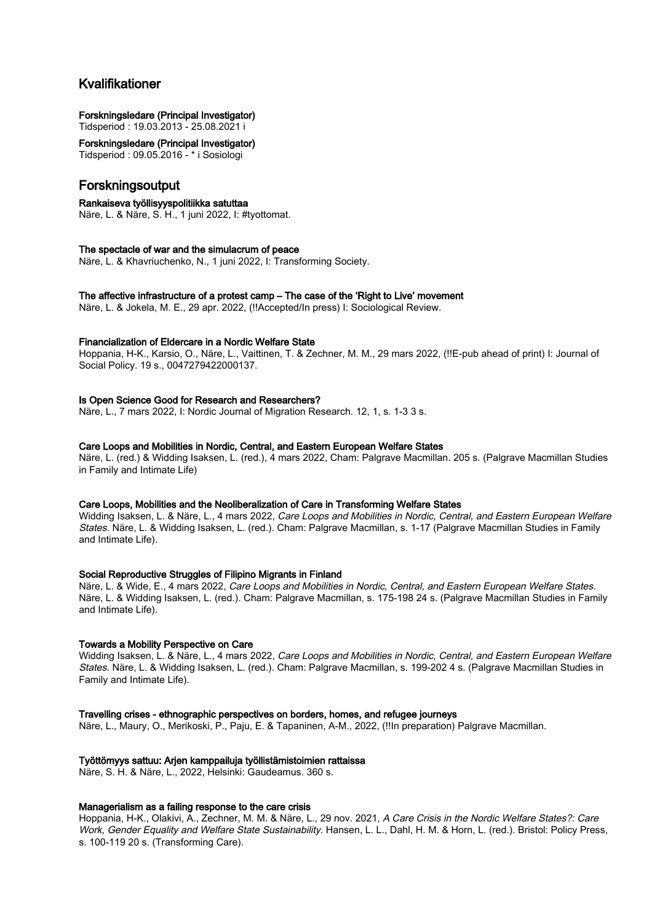# Kvalifikationer

## Forskningsledare (Principal Investigator)

Tidsperiod : 19.03.2013 - 25.08.2021 i

Forskningsledare (Principal Investigator) Tidsperiod : 09.05.2016 - \* i Sosiologi

# Forskningsoutput

#### Rankaiseva työllisyyspolitiikka satuttaa

Näre, L. & Näre, S. H., 1 juni 2022, I: #tyottomat.

#### The spectacle of war and the simulacrum of peace

Näre, L. & Khavriuchenko, N., 1 juni 2022, I: Transforming Society.

### The affective infrastructure of a protest camp – The case of the 'Right to Live' movement

Näre, L. & Jokela, M. E., 29 apr. 2022, (!!Accepted/In press) I: Sociological Review.

#### Financialization of Eldercare in a Nordic Welfare State

Hoppania, H-K., Karsio, O., Näre, L., Vaittinen, T. & Zechner, M. M., 29 mars 2022, (!!E-pub ahead of print) I: Journal of Social Policy. 19 s., 0047279422000137.

## Is Open Science Good for Research and Researchers?

Näre, L., 7 mars 2022, I: Nordic Journal of Migration Research. 12, 1, s. 1-3 3 s.

#### Care Loops and Mobilities in Nordic, Central, and Eastern European Welfare States

Näre, L. (red.) & Widding Isaksen, L. (red.), 4 mars 2022, Cham: Palgrave Macmillan. 205 s. (Palgrave Macmillan Studies in Family and Intimate Life)

#### Care Loops, Mobilities and the Neoliberalization of Care in Transforming Welfare States

Widding Isaksen, L. & Näre, L., 4 mars 2022, Care Loops and Mobilities in Nordic, Central, and Eastern European Welfare States. Näre, L. & Widding Isaksen, L. (red.). Cham: Palgrave Macmillan, s. 1-17 (Palgrave Macmillan Studies in Family and Intimate Life).

#### Social Reproductive Struggles of Filipino Migrants in Finland

Näre, L. & Wide, E., 4 mars 2022, Care Loops and Mobilities in Nordic, Central, and Eastern European Welfare States. Näre, L. & Widding Isaksen, L. (red.). Cham: Palgrave Macmillan, s. 175-198 24 s. (Palgrave Macmillan Studies in Family and Intimate Life).

#### Towards a Mobility Perspective on Care

Widding Isaksen, L. & Näre, L., 4 mars 2022, Care Loops and Mobilities in Nordic, Central, and Eastern European Welfare States. Näre, L. & Widding Isaksen, L. (red.). Cham: Palgrave Macmillan, s. 199-202 4 s. (Palgrave Macmillan Studies in Family and Intimate Life).

## Travelling crises - ethnographic perspectives on borders, homes, and refugee journeys

Näre, L., Maury, O., Merikoski, P., Paju, E. & Tapaninen, A-M., 2022, (!!In preparation) Palgrave Macmillan.

#### Työttömyys sattuu: Arjen kamppailuja työllistämistoimien rattaissa

Näre, S. H. & Näre, L., 2022, Helsinki: Gaudeamus. 360 s.

#### Managerialism as a failing response to the care crisis

Hoppania, H-K., Olakivi, A., Zechner, M. M. & Näre, L., 29 nov. 2021, A Care Crisis in the Nordic Welfare States?: Care Work, Gender Equality and Welfare State Sustainability. Hansen, L. L., Dahl, H. M. & Horn, L. (red.). Bristol: Policy Press, s. 100-119 20 s. (Transforming Care).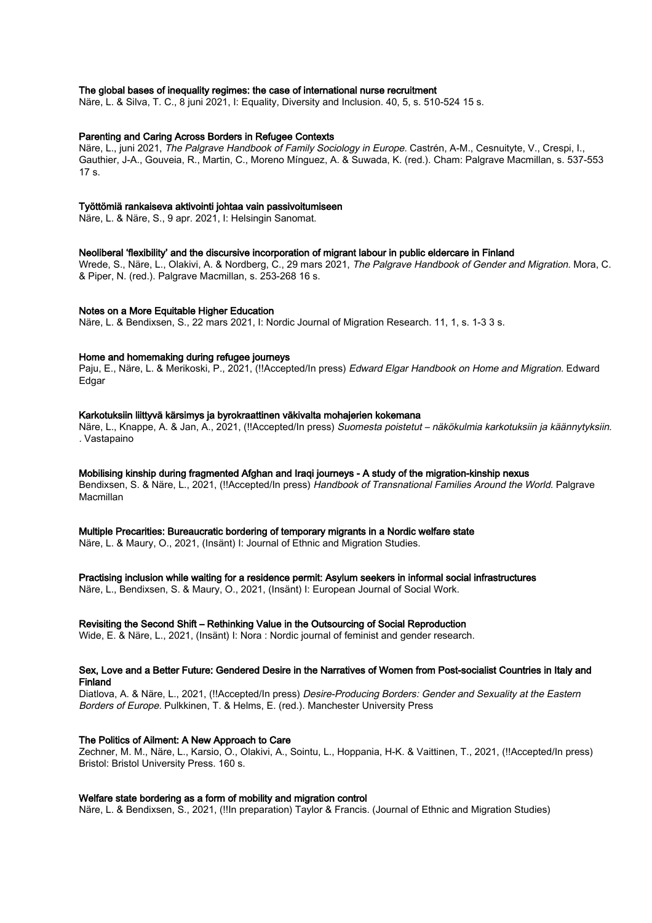#### The global bases of inequality regimes: the case of international nurse recruitment

Näre, L. & Silva, T. C., 8 juni 2021, I: Equality, Diversity and Inclusion. 40, 5, s. 510-524 15 s.

#### Parenting and Caring Across Borders in Refugee Contexts

Näre, L., juni 2021, The Palgrave Handbook of Family Sociology in Europe. Castrén, A-M., Cesnuityte, V., Crespi, I., Gauthier, J-A., Gouveia, R., Martin, C., Moreno Mínguez, A. & Suwada, K. (red.). Cham: Palgrave Macmillan, s. 537-553 17 s.

#### Työttömiä rankaiseva aktivointi johtaa vain passivoitumiseen

Näre, L. & Näre, S., 9 apr. 2021, I: Helsingin Sanomat.

## Neoliberal 'flexibility' and the discursive incorporation of migrant labour in public eldercare in Finland

Wrede, S., Näre, L., Olakivi, A. & Nordberg, C., 29 mars 2021, The Palgrave Handbook of Gender and Migration. Mora, C. & Piper, N. (red.). Palgrave Macmillan, s. 253-268 16 s.

#### Notes on a More Equitable Higher Education

Näre, L. & Bendixsen, S., 22 mars 2021, I: Nordic Journal of Migration Research. 11, 1, s. 1-3 3 s.

#### Home and homemaking during refugee journeys

Paju, E., Näre, L. & Merikoski, P., 2021, (!!Accepted/In press) Edward Elgar Handbook on Home and Migration. Edward Edgar

#### Karkotuksiin liittyvä kärsimys ja byrokraattinen väkivalta mohajerien kokemana

Näre, L., Knappe, A. & Jan, A., 2021, (!!Accepted/In press) Suomesta poistetut – näkökulmia karkotuksiin ja käännytyksiin. . Vastapaino

#### Mobilising kinship during fragmented Afghan and Iraqi journeys - A study of the migration-kinship nexus

Bendixsen, S. & Näre, L., 2021, (!!Accepted/In press) Handbook of Transnational Families Around the World. Palgrave **Macmillan** 

#### Multiple Precarities: Bureaucratic bordering of temporary migrants in a Nordic welfare state

Näre, L. & Maury, O., 2021, (Insänt) I: Journal of Ethnic and Migration Studies.

#### Practising inclusion while waiting for a residence permit: Asylum seekers in informal social infrastructures

Näre, L., Bendixsen, S. & Maury, O., 2021, (Insänt) I: European Journal of Social Work.

#### Revisiting the Second Shift – Rethinking Value in the Outsourcing of Social Reproduction

Wide, E. & Näre, L., 2021, (Insänt) I: Nora : Nordic journal of feminist and gender research.

#### Sex, Love and a Better Future: Gendered Desire in the Narratives of Women from Post-socialist Countries in Italy and Finland

Diatlova, A. & Näre, L., 2021, (!!Accepted/In press) Desire-Producing Borders: Gender and Sexuality at the Eastern Borders of Europe. Pulkkinen, T. & Helms, E. (red.). Manchester University Press

#### The Politics of Ailment: A New Approach to Care

Zechner, M. M., Näre, L., Karsio, O., Olakivi, A., Sointu, L., Hoppania, H-K. & Vaittinen, T., 2021, (!!Accepted/In press) Bristol: Bristol University Press. 160 s.

#### Welfare state bordering as a form of mobility and migration control

Näre, L. & Bendixsen, S., 2021, (!!In preparation) Taylor & Francis. (Journal of Ethnic and Migration Studies)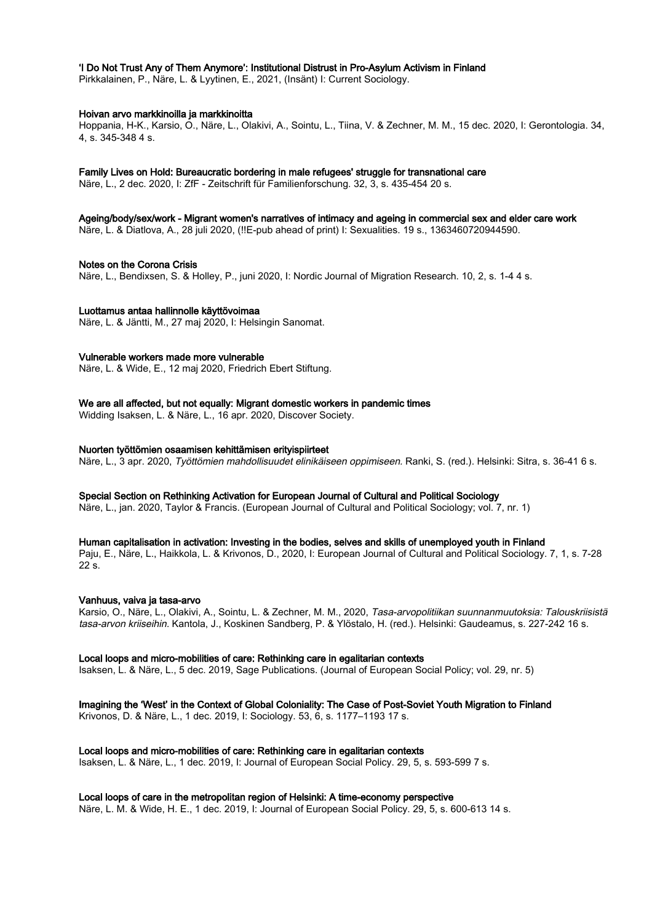#### 'I Do Not Trust Any of Them Anymore': Institutional Distrust in Pro-Asylum Activism in Finland

Pirkkalainen, P., Näre, L. & Lyytinen, E., 2021, (Insänt) I: Current Sociology.

#### Hoivan arvo markkinoilla ja markkinoitta

Hoppania, H-K., Karsio, O., Näre, L., Olakivi, A., Sointu, L., Tiina, V. & Zechner, M. M., 15 dec. 2020, I: Gerontologia. 34, 4, s. 345-348 4 s.

#### Family Lives on Hold: Bureaucratic bordering in male refugees' struggle for transnational care

Näre, L., 2 dec. 2020, I: ZfF - Zeitschrift für Familienforschung. 32, 3, s. 435-454 20 s.

Ageing/body/sex/work - Migrant women's narratives of intimacy and ageing in commercial sex and elder care work

Näre, L. & Diatlova, A., 28 juli 2020, (!!E-pub ahead of print) I: Sexualities. 19 s., 1363460720944590.

#### Notes on the Corona Crisis

Näre, L., Bendixsen, S. & Holley, P., juni 2020, I: Nordic Journal of Migration Research. 10, 2, s. 1-4 4 s.

#### Luottamus antaa hallinnolle käyttövoimaa

Näre, L. & Jäntti, M., 27 maj 2020, I: Helsingin Sanomat.

#### Vulnerable workers made more vulnerable

Näre, L. & Wide, E., 12 maj 2020, Friedrich Ebert Stiftung.

### We are all affected, but not equally: Migrant domestic workers in pandemic times

Widding Isaksen, L. & Näre, L., 16 apr. 2020, Discover Society.

#### Nuorten työttömien osaamisen kehittämisen erityispiirteet

Näre, L., 3 apr. 2020, Työttömien mahdollisuudet elinikäiseen oppimiseen. Ranki, S. (red.). Helsinki: Sitra, s. 36-41 6 s.

#### Special Section on Rethinking Activation for European Journal of Cultural and Political Sociology

Näre, L., jan. 2020, Taylor & Francis. (European Journal of Cultural and Political Sociology; vol. 7, nr. 1)

#### Human capitalisation in activation: Investing in the bodies, selves and skills of unemployed youth in Finland

Paju, E., Näre, L., Haikkola, L. & Krivonos, D., 2020, I: European Journal of Cultural and Political Sociology. 7, 1, s. 7-28  $22<sub>s</sub>$ 

#### Vanhuus, vaiva ja tasa-arvo

Karsio, O., Näre, L., Olakivi, A., Sointu, L. & Zechner, M. M., 2020, Tasa-arvopolitiikan suunnanmuutoksia: Talouskriisistä tasa-arvon kriiseihin. Kantola, J., Koskinen Sandberg, P. & Ylöstalo, H. (red.). Helsinki: Gaudeamus, s. 227-242 16 s.

#### Local loops and micro-mobilities of care: Rethinking care in egalitarian contexts

Isaksen, L. & Näre, L., 5 dec. 2019, Sage Publications. (Journal of European Social Policy; vol. 29, nr. 5)

#### Imagining the 'West' in the Context of Global Coloniality: The Case of Post-Soviet Youth Migration to Finland

Krivonos, D. & Näre, L., 1 dec. 2019, I: Sociology. 53, 6, s. 1177–1193 17 s.

#### Local loops and micro-mobilities of care: Rethinking care in egalitarian contexts

Isaksen, L. & Näre, L., 1 dec. 2019, I: Journal of European Social Policy. 29, 5, s. 593-599 7 s.

### Local loops of care in the metropolitan region of Helsinki: A time-economy perspective

Näre, L. M. & Wide, H. E., 1 dec. 2019, I: Journal of European Social Policy. 29, 5, s. 600-613 14 s.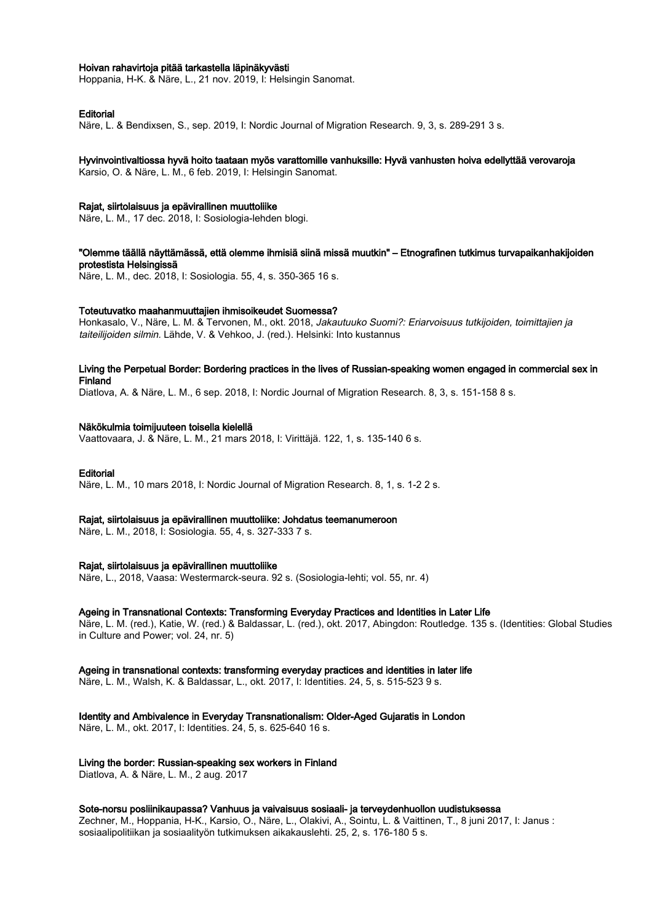#### Hoivan rahavirtoja pitää tarkastella läpinäkyvästi

Hoppania, H-K. & Näre, L., 21 nov. 2019, I: Helsingin Sanomat.

#### **Editorial**

Näre, L. & Bendixsen, S., sep. 2019, I: Nordic Journal of Migration Research. 9, 3, s. 289-291 3 s.

#### Hyvinvointivaltiossa hyvä hoito taataan myös varattomille vanhuksille: Hyvä vanhusten hoiva edellyttää verovaroja

Karsio, O. & Näre, L. M., 6 feb. 2019, I: Helsingin Sanomat.

#### Rajat, siirtolaisuus ja epävirallinen muuttoliike

Näre, L. M., 17 dec. 2018, I: Sosiologia-lehden blogi.

#### "Olemme täällä näyttämässä, että olemme ihmisiä siinä missä muutkin" – Etnografinen tutkimus turvapaikanhakijoiden protestista Helsingissä

Näre, L. M., dec. 2018, I: Sosiologia. 55, 4, s. 350-365 16 s.

#### Toteutuvatko maahanmuuttajien ihmisoikeudet Suomessa?

Honkasalo, V., Näre, L. M. & Tervonen, M., okt. 2018, Jakautuuko Suomi?: Eriarvoisuus tutkijoiden, toimittajien ja taiteilijoiden silmin. Lähde, V. & Vehkoo, J. (red.). Helsinki: Into kustannus

#### Living the Perpetual Border: Bordering practices in the lives of Russian-speaking women engaged in commercial sex in Finland

Diatlova, A. & Näre, L. M., 6 sep. 2018, I: Nordic Journal of Migration Research. 8, 3, s. 151-158 8 s.

#### Näkökulmia toimijuuteen toisella kielellä

Vaattovaara, J. & Näre, L. M., 21 mars 2018, I: Virittäjä. 122, 1, s. 135-140 6 s.

#### Editorial

Näre, L. M., 10 mars 2018, I: Nordic Journal of Migration Research. 8, 1, s. 1-2 2 s.

#### Rajat, siirtolaisuus ja epävirallinen muuttoliike: Johdatus teemanumeroon

Näre, L. M., 2018, I: Sosiologia. 55, 4, s. 327-333 7 s.

#### Rajat, siirtolaisuus ja epävirallinen muuttoliike

Näre, L., 2018, Vaasa: Westermarck-seura. 92 s. (Sosiologia-lehti; vol. 55, nr. 4)

#### Ageing in Transnational Contexts: Transforming Everyday Practices and Identities in Later Life

Näre, L. M. (red.), Katie, W. (red.) & Baldassar, L. (red.), okt. 2017, Abingdon: Routledge. 135 s. (Identities: Global Studies in Culture and Power; vol. 24, nr. 5)

#### Ageing in transnational contexts: transforming everyday practices and identities in later life

Näre, L. M., Walsh, K. & Baldassar, L., okt. 2017, I: Identities. 24, 5, s. 515-523 9 s.

## Identity and Ambivalence in Everyday Transnationalism: Older-Aged Gujaratis in London

Näre, L. M., okt. 2017, I: Identities. 24, 5, s. 625-640 16 s.

#### Living the border: Russian-speaking sex workers in Finland

Diatlova, A. & Näre, L. M., 2 aug. 2017

#### Sote-norsu posliinikaupassa? Vanhuus ja vaivaisuus sosiaali- ja terveydenhuollon uudistuksessa

Zechner, M., Hoppania, H-K., Karsio, O., Näre, L., Olakivi, A., Sointu, L. & Vaittinen, T., 8 juni 2017, I: Janus : sosiaalipolitiikan ja sosiaalityön tutkimuksen aikakauslehti. 25, 2, s. 176-180 5 s.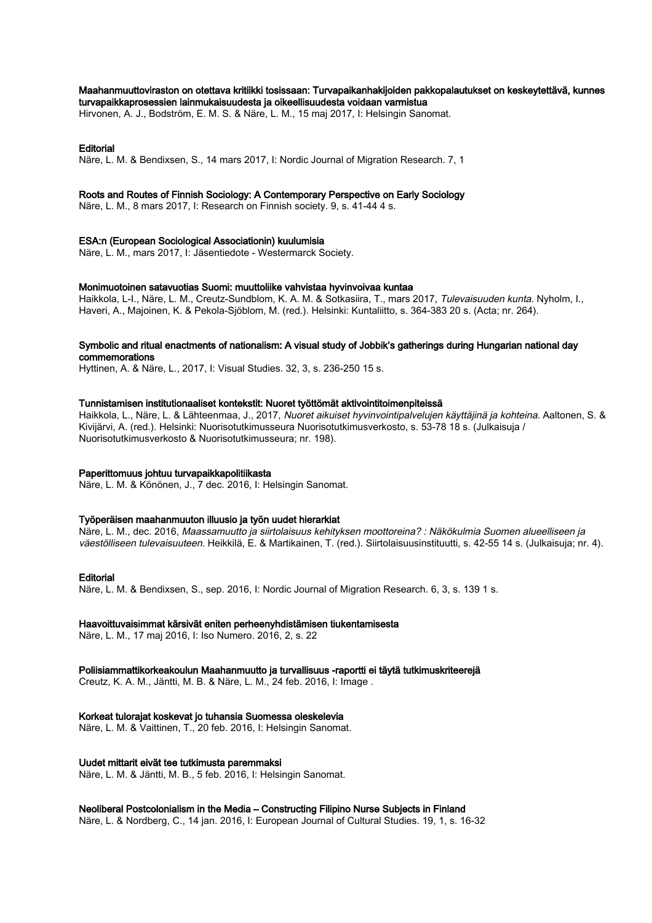#### Maahanmuuttoviraston on otettava kritiikki tosissaan: Turvapaikanhakijoiden pakkopalautukset on keskeytettävä, kunnes turvapaikkaprosessien lainmukaisuudesta ja oikeellisuudesta voidaan varmistua

Hirvonen, A. J., Bodström, E. M. S. & Näre, L. M., 15 maj 2017, I: Helsingin Sanomat.

#### Editorial

Näre, L. M. & Bendixsen, S., 14 mars 2017, I: Nordic Journal of Migration Research. 7, 1

#### Roots and Routes of Finnish Sociology: A Contemporary Perspective on Early Sociology

Näre, L. M., 8 mars 2017, I: Research on Finnish society. 9, s. 41-44 4 s.

#### ESA:n (European Sociological Associationin) kuulumisia

Näre, L. M., mars 2017, I: Jäsentiedote - Westermarck Society.

#### Monimuotoinen satavuotias Suomi: muuttoliike vahvistaa hyvinvoivaa kuntaa

Haikkola, L-I., Näre, L. M., Creutz-Sundblom, K. A. M. & Sotkasiira, T., mars 2017, Tulevaisuuden kunta. Nyholm, I., Haveri, A., Majoinen, K. & Pekola-Sjöblom, M. (red.). Helsinki: Kuntaliitto, s. 364-383 20 s. (Acta; nr. 264).

#### Symbolic and ritual enactments of nationalism: A visual study of Jobbik's gatherings during Hungarian national day commemorations

Hyttinen, A. & Näre, L., 2017, I: Visual Studies. 32, 3, s. 236-250 15 s.

#### Tunnistamisen institutionaaliset kontekstit: Nuoret työttömät aktivointitoimenpiteissä

Haikkola, L., Näre, L. & Lähteenmaa, J., 2017, Nuoret aikuiset hyvinvointipalvelujen käyttäjinä ja kohteina. Aaltonen, S. & Kivijärvi, A. (red.). Helsinki: Nuorisotutkimusseura Nuorisotutkimusverkosto, s. 53-78 18 s. (Julkaisuja / Nuorisotutkimusverkosto & Nuorisotutkimusseura; nr. 198).

#### Paperittomuus johtuu turvapaikkapolitiikasta

Näre, L. M. & Könönen, J., 7 dec. 2016, I: Helsingin Sanomat.

#### Työperäisen maahanmuuton illuusio ja työn uudet hierarkiat

Näre, L. M., dec. 2016, Maassamuutto ja siirtolaisuus kehityksen moottoreina? : Näkökulmia Suomen alueelliseen ja väestölliseen tulevaisuuteen. Heikkilä, E. & Martikainen, T. (red.). Siirtolaisuusinstituutti, s. 42-55 14 s. (Julkaisuja; nr. 4).

#### **Editorial**

Näre, L. M. & Bendixsen, S., sep. 2016, I: Nordic Journal of Migration Research. 6, 3, s. 139 1 s.

#### Haavoittuvaisimmat kärsivät eniten perheenyhdistämisen tiukentamisesta

Näre, L. M., 17 maj 2016, I: Iso Numero. 2016, 2, s. 22

#### Poliisiammattikorkeakoulun Maahanmuutto ja turvallisuus -raportti ei täytä tutkimuskriteerejä

Creutz, K. A. M., Jäntti, M. B. & Näre, L. M., 24 feb. 2016, I: Image .

#### Korkeat tulorajat koskevat jo tuhansia Suomessa oleskelevia

Näre, L. M. & Vaittinen, T., 20 feb. 2016, I: Helsingin Sanomat.

#### Uudet mittarit eivät tee tutkimusta paremmaksi

Näre, L. M. & Jäntti, M. B., 5 feb. 2016, I: Helsingin Sanomat.

#### Neoliberal Postcolonialism in the Media – Constructing Filipino Nurse Subjects in Finland

Näre, L. & Nordberg, C., 14 jan. 2016, I: European Journal of Cultural Studies. 19, 1, s. 16-32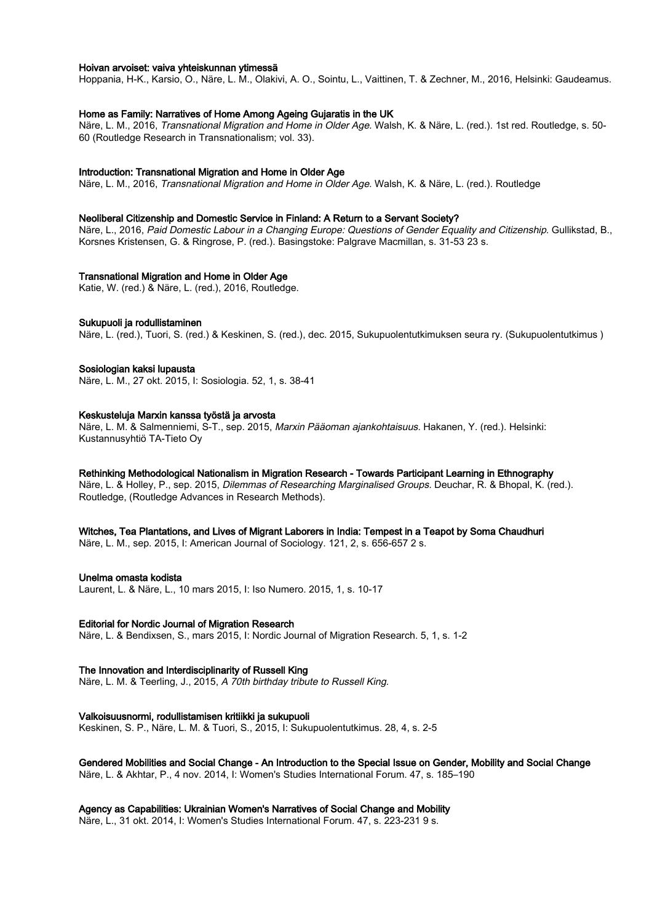#### Hoivan arvoiset: vaiva yhteiskunnan ytimessä

Hoppania, H-K., Karsio, O., Näre, L. M., Olakivi, A. O., Sointu, L., Vaittinen, T. & Zechner, M., 2016, Helsinki: Gaudeamus.

#### Home as Family: Narratives of Home Among Ageing Gujaratis in the UK

Näre, L. M., 2016, Transnational Migration and Home in Older Age. Walsh, K. & Näre, L. (red.). 1st red. Routledge, s. 50- 60 (Routledge Research in Transnationalism; vol. 33).

#### Introduction: Transnational Migration and Home in Older Age

Näre, L. M., 2016, Transnational Migration and Home in Older Age. Walsh, K. & Näre, L. (red.). Routledge

#### Neoliberal Citizenship and Domestic Service in Finland: A Return to a Servant Society?

Näre, L., 2016, Paid Domestic Labour in a Changing Europe: Questions of Gender Equality and Citizenship. Gullikstad, B., Korsnes Kristensen, G. & Ringrose, P. (red.). Basingstoke: Palgrave Macmillan, s. 31-53 23 s.

#### Transnational Migration and Home in Older Age

Katie, W. (red.) & Näre, L. (red.), 2016, Routledge.

#### Sukupuoli ja rodullistaminen

Näre, L. (red.), Tuori, S. (red.) & Keskinen, S. (red.), dec. 2015, Sukupuolentutkimuksen seura ry. (Sukupuolentutkimus )

#### Sosiologian kaksi lupausta

Näre, L. M., 27 okt. 2015, I: Sosiologia. 52, 1, s. 38-41

#### Keskusteluja Marxin kanssa työstä ja arvosta

Näre, L. M. & Salmenniemi, S-T., sep. 2015, Marxin Pääoman ajankohtaisuus. Hakanen, Y. (red.). Helsinki: Kustannusyhtiö TA-Tieto Oy

#### Rethinking Methodological Nationalism in Migration Research - Towards Participant Learning in Ethnography

Näre, L. & Holley, P., sep. 2015, *Dilemmas of Researching Marginalised Groups.* Deuchar, R. & Bhopal, K. (red.). Routledge, (Routledge Advances in Research Methods).

#### Witches, Tea Plantations, and Lives of Migrant Laborers in India: Tempest in a Teapot by Soma Chaudhuri

Näre, L. M., sep. 2015, I: American Journal of Sociology. 121, 2, s. 656-657 2 s.

#### Unelma omasta kodista

Laurent, L. & Näre, L., 10 mars 2015, I: Iso Numero. 2015, 1, s. 10-17

#### Editorial for Nordic Journal of Migration Research

Näre, L. & Bendixsen, S., mars 2015, I: Nordic Journal of Migration Research. 5, 1, s. 1-2

#### The Innovation and Interdisciplinarity of Russell King

Näre, L. M. & Teerling, J., 2015, A 70th birthday tribute to Russell King.

#### Valkoisuusnormi, rodullistamisen kritiikki ja sukupuoli

Keskinen, S. P., Näre, L. M. & Tuori, S., 2015, I: Sukupuolentutkimus. 28, 4, s. 2-5

#### Gendered Mobilities and Social Change - An Introduction to the Special Issue on Gender, Mobility and Social Change Näre, L. & Akhtar, P., 4 nov. 2014, I: Women's Studies International Forum. 47, s. 185–190

#### Agency as Capabilities: Ukrainian Women's Narratives of Social Change and Mobility

Näre, L., 31 okt. 2014, I: Women's Studies International Forum. 47, s. 223-231 9 s.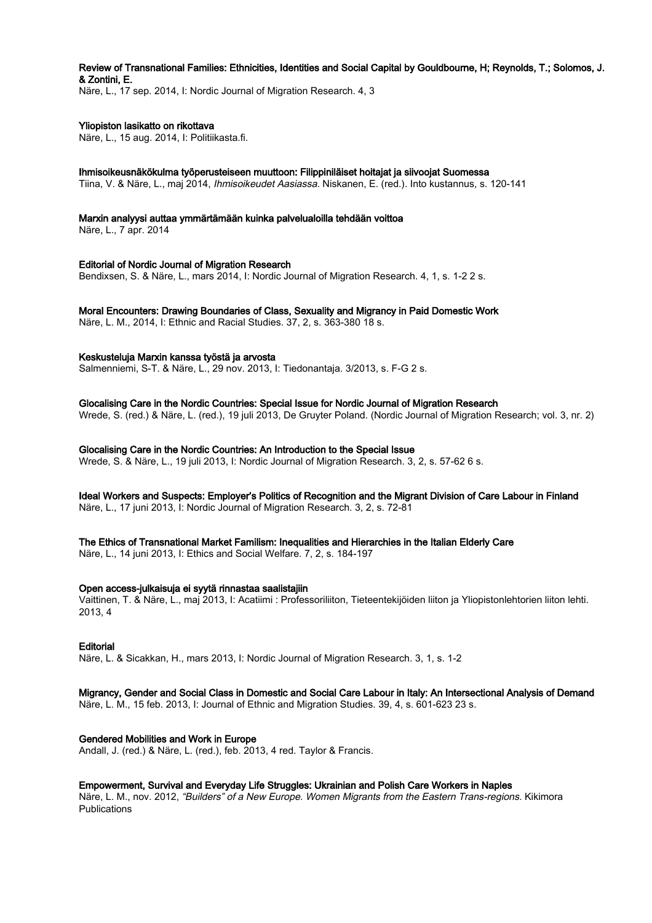## Review of Transnational Families: Ethnicities, Identities and Social Capital by Gouldbourne, H; Reynolds, T.; Solomos, J. & Zontini, E.

Näre, L., 17 sep. 2014, I: Nordic Journal of Migration Research. 4, 3

## Yliopiston lasikatto on rikottava

Näre, L., 15 aug. 2014, I: Politiikasta.fi.

#### Ihmisoikeusnäkökulma työperusteiseen muuttoon: Filippiniläiset hoitajat ja siivoojat Suomessa

Tiina, V. & Näre, L., maj 2014, Ihmisoikeudet Aasiassa. Niskanen, E. (red.). Into kustannus, s. 120-141

#### Marxin analyysi auttaa ymmärtämään kuinka palvelualoilla tehdään voittoa

Näre, L., 7 apr. 2014

## Editorial of Nordic Journal of Migration Research

Bendixsen, S. & Näre, L., mars 2014, I: Nordic Journal of Migration Research. 4, 1, s. 1-2 2 s.

## Moral Encounters: Drawing Boundaries of Class, Sexuality and Migrancy in Paid Domestic Work

Näre, L. M., 2014, I: Ethnic and Racial Studies. 37, 2, s. 363-380 18 s.

## Keskusteluja Marxin kanssa työstä ja arvosta

Salmenniemi, S-T. & Näre, L., 29 nov. 2013, I: Tiedonantaja. 3/2013, s. F-G 2 s.

## Glocalising Care in the Nordic Countries: Special Issue for Nordic Journal of Migration Research

Wrede, S. (red.) & Näre, L. (red.), 19 juli 2013, De Gruyter Poland. (Nordic Journal of Migration Research; vol. 3, nr. 2)

## Glocalising Care in the Nordic Countries: An Introduction to the Special Issue

Wrede, S. & Näre, L., 19 juli 2013, I: Nordic Journal of Migration Research. 3, 2, s. 57-62 6 s.

#### Ideal Workers and Suspects: Employer's Politics of Recognition and the Migrant Division of Care Labour in Finland Näre, L., 17 juni 2013, I: Nordic Journal of Migration Research. 3, 2, s. 72-81

#### The Ethics of Transnational Market Familism: Inequalities and Hierarchies in the Italian Elderly Care

Näre, L., 14 juni 2013, I: Ethics and Social Welfare. 7, 2, s. 184-197

#### Open access-julkaisuja ei syytä rinnastaa saalistajiin

Vaittinen, T. & Näre, L., maj 2013, I: Acatiimi : Professoriliiton, Tieteentekijöiden liiton ja Yliopistonlehtorien liiton lehti. 2013, 4

#### Editorial

Näre, L. & Sicakkan, H., mars 2013, I: Nordic Journal of Migration Research. 3, 1, s. 1-2

## Migrancy, Gender and Social Class in Domestic and Social Care Labour in Italy: An Intersectional Analysis of Demand

Näre, L. M., 15 feb. 2013, I: Journal of Ethnic and Migration Studies. 39, 4, s. 601-623 23 s.

## Gendered Mobilities and Work in Europe

Andall, J. (red.) & Näre, L. (red.), feb. 2013, 4 red. Taylor & Francis.

#### Empowerment, Survival and Everyday Life Struggles: Ukrainian and Polish Care Workers in Naples

Näre, L. M., nov. 2012, "Builders" of a New Europe. Women Migrants from the Eastern Trans-regions. Kikimora Publications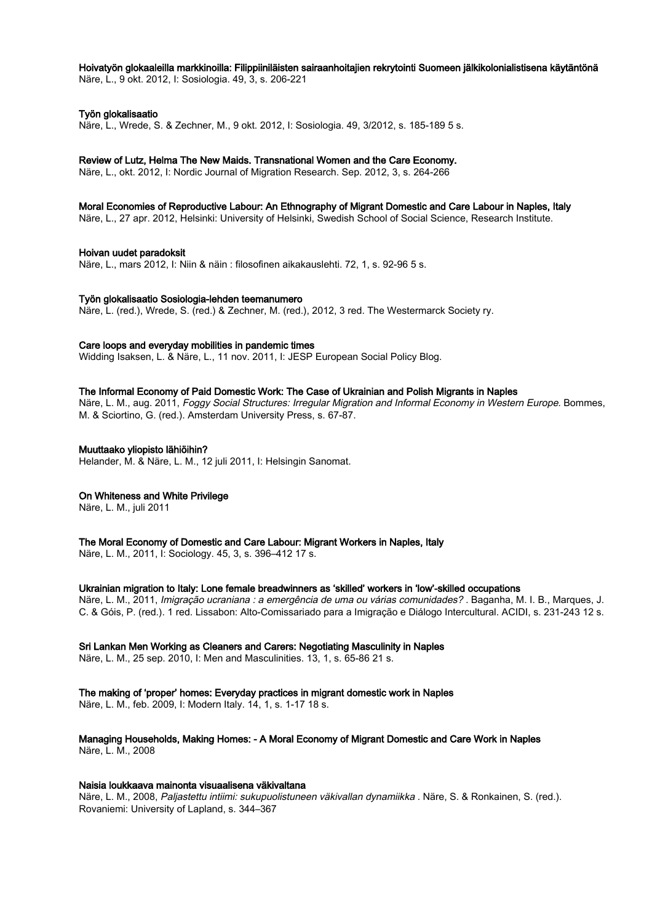# Hoivatyön glokaaleilla markkinoilla: Filippiiniläisten sairaanhoitajien rekrytointi Suomeen jälkikolonialistisena käytäntönä

Näre, L., 9 okt. 2012, I: Sosiologia. 49, 3, s. 206-221

## Työn glokalisaatio

Näre, L., Wrede, S. & Zechner, M., 9 okt. 2012, I: Sosiologia. 49, 3/2012, s. 185-189 5 s.

## Review of Lutz, Helma The New Maids. Transnational Women and the Care Economy.

Näre, L., okt. 2012, I: Nordic Journal of Migration Research. Sep. 2012, 3, s. 264-266

## Moral Economies of Reproductive Labour: An Ethnography of Migrant Domestic and Care Labour in Naples, Italy

Näre, L., 27 apr. 2012, Helsinki: University of Helsinki, Swedish School of Social Science, Research Institute.

## Hoivan uudet paradoksit

Näre, L., mars 2012, I: Niin & näin : filosofinen aikakauslehti. 72, 1, s. 92-96 5 s.

## Työn glokalisaatio Sosiologia-lehden teemanumero

Näre, L. (red.), Wrede, S. (red.) & Zechner, M. (red.), 2012, 3 red. The Westermarck Society ry.

## Care loops and everyday mobilities in pandemic times

Widding Isaksen, L. & Näre, L., 11 nov. 2011, I: JESP European Social Policy Blog.

## The Informal Economy of Paid Domestic Work: The Case of Ukrainian and Polish Migrants in Naples

Näre, L. M., aug. 2011, Foggy Social Structures: Irregular Migration and Informal Economy in Western Europe. Bommes. M. & Sciortino, G. (red.). Amsterdam University Press, s. 67-87.

## Muuttaako yliopisto lähiöihin?

Helander, M. & Näre, L. M., 12 juli 2011, I: Helsingin Sanomat.

## On Whiteness and White Privilege

Näre, L. M., juli 2011

## The Moral Economy of Domestic and Care Labour: Migrant Workers in Naples, Italy

Näre, L. M., 2011, I: Sociology. 45, 3, s. 396–412 17 s.

## Ukrainian migration to Italy: Lone female breadwinners as 'skilled' workers in 'low'-skilled occupations

Näre, L. M., 2011, *Imigração ucraniana : a emergência de uma ou várias comunidades?* . Baganha, M. I. B., Marques, J. C. & Góis, P. (red.). 1 red. Lissabon: Alto-Comissariado para a Imigração e Diálogo Intercultural. ACIDI, s. 231-243 12 s.

## Sri Lankan Men Working as Cleaners and Carers: Negotiating Masculinity in Naples

Näre, L. M., 25 sep. 2010, I: Men and Masculinities. 13, 1, s. 65-86 21 s.

## The making of 'proper' homes: Everyday practices in migrant domestic work in Naples

Näre, L. M., feb. 2009, I: Modern Italy. 14, 1, s. 1-17 18 s.

# Managing Households, Making Homes: - A Moral Economy of Migrant Domestic and Care Work in Naples

Näre, L. M., 2008

#### Naisia loukkaava mainonta visuaalisena väkivaltana

Näre, L. M., 2008, Paljastettu intiimi: sukupuolistuneen väkivallan dynamiikka . Näre, S. & Ronkainen, S. (red.). Rovaniemi: University of Lapland, s. 344–367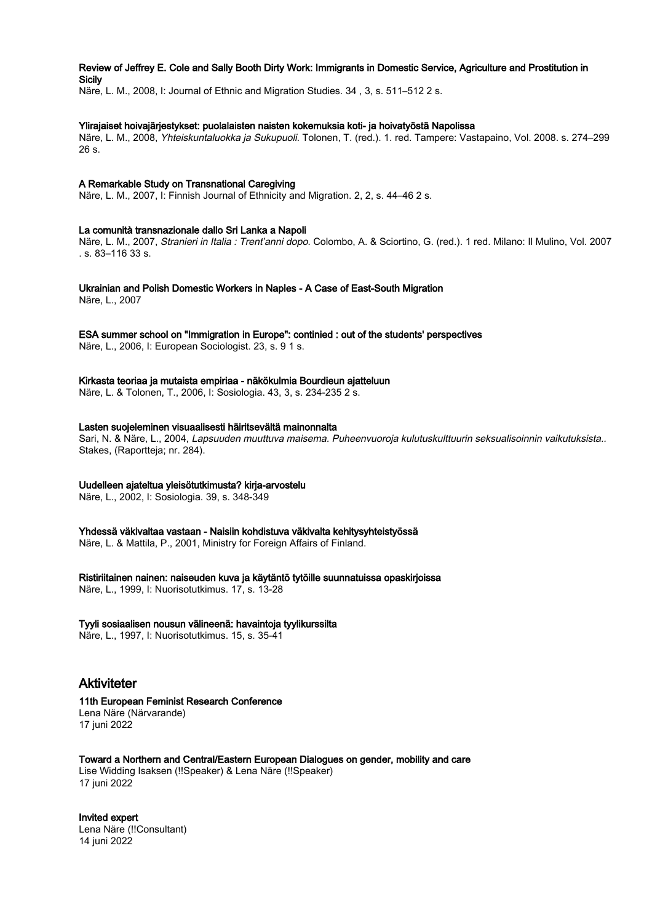## Review of Jeffrey E. Cole and Sally Booth Dirty Work: Immigrants in Domestic Service, Agriculture and Prostitution in **Sicily**

Näre, L. M., 2008, I: Journal of Ethnic and Migration Studies. 34 , 3, s. 511–512 2 s.

#### Ylirajaiset hoivajärjestykset: puolalaisten naisten kokemuksia koti- ja hoivatyöstä Napolissa

Näre, L. M., 2008, Yhteiskuntaluokka ja Sukupuoli. Tolonen, T. (red.). 1. red. Tampere: Vastapaino, Vol. 2008. s. 274–299 26 s.

## A Remarkable Study on Transnational Caregiving

Näre, L. M., 2007, I: Finnish Journal of Ethnicity and Migration. 2, 2, s. 44–46 2 s.

## La comunità transnazionale dallo Sri Lanka a Napoli

Näre, L. M., 2007, Stranieri in Italia : Trent'anni dopo. Colombo, A. & Sciortino, G. (red.). 1 red. Milano: Il Mulino, Vol. 2007 . s. 83–116 33 s.

Ukrainian and Polish Domestic Workers in Naples - A Case of East-South Migration

Näre, L., 2007

# ESA summer school on "Immigration in Europe": continied : out of the students' perspectives

Näre, L., 2006, I: European Sociologist. 23, s. 9 1 s.

## Kirkasta teoriaa ja mutaista empiriaa - näkökulmia Bourdieun ajatteluun

Näre, L. & Tolonen, T., 2006, I: Sosiologia. 43, 3, s. 234-235 2 s.

## Lasten suojeleminen visuaalisesti häiritsevältä mainonnalta

Sari, N. & Näre, L., 2004, Lapsuuden muuttuva maisema. Puheenvuoroja kulutuskulttuurin seksualisoinnin vaikutuksista.. Stakes, (Raportteja; nr. 284).

## Uudelleen ajateltua yleisötutkimusta? kirja-arvostelu

Näre, L., 2002, I: Sosiologia. 39, s. 348-349

Yhdessä väkivaltaa vastaan - Naisiin kohdistuva väkivalta kehitysyhteistyössä

Näre, L. & Mattila, P., 2001, Ministry for Foreign Affairs of Finland.

Ristiriitainen nainen: naiseuden kuva ja käytäntö tytöille suunnatuissa opaskirjoissa

Näre, L., 1999, I: Nuorisotutkimus. 17, s. 13-28

## Tyyli sosiaalisen nousun välineenä: havaintoja tyylikurssilta

Näre, L., 1997, I: Nuorisotutkimus. 15, s. 35-41

# Aktiviteter

#### 11th European Feminist Research Conference Lena Näre (Närvarande)

17 juni 2022

Toward a Northern and Central/Eastern European Dialogues on gender, mobility and care Lise Widding Isaksen (!!Speaker) & Lena Näre (!!Speaker) 17 juni 2022

Invited expert Lena Näre (!!Consultant) 14 juni 2022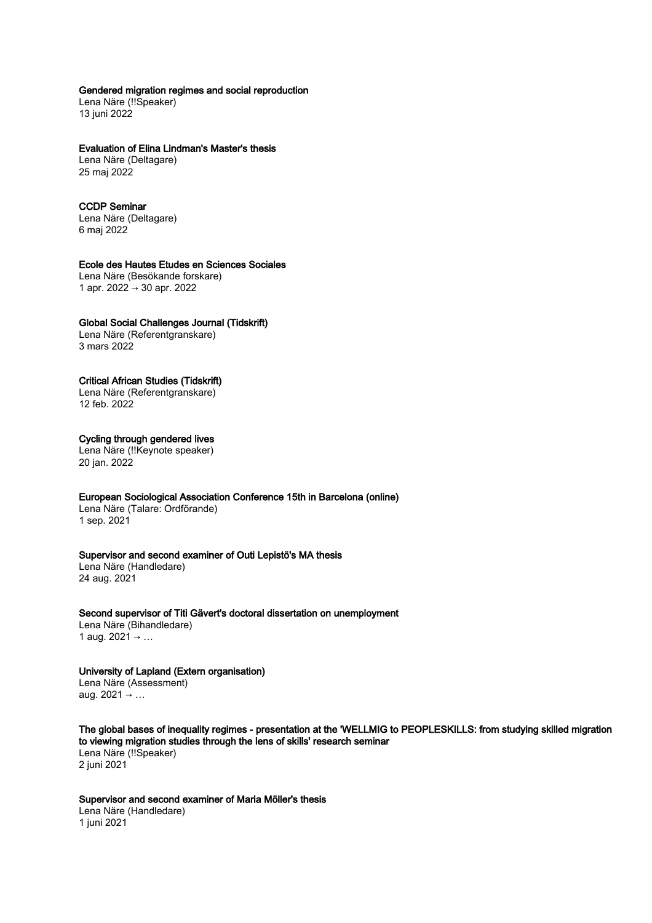## Gendered migration regimes and social reproduction

Lena Näre (!!Speaker) 13 juni 2022

#### Evaluation of Elina Lindman's Master's thesis

Lena Näre (Deltagare) 25 maj 2022

## CCDP Seminar

Lena Näre (Deltagare) 6 maj 2022

## Ecole des Hautes Etudes en Sciences Sociales

Lena Näre (Besökande forskare) 1 apr. 2022 → 30 apr. 2022

#### Global Social Challenges Journal (Tidskrift)

Lena Näre (Referentgranskare) 3 mars 2022

## Critical African Studies (Tidskrift)

Lena Näre (Referentgranskare) 12 feb. 2022

## Cycling through gendered lives

Lena Näre (!!Keynote speaker) 20 jan. 2022

## European Sociological Association Conference 15th in Barcelona (online)

Lena Näre (Talare: Ordförande) 1 sep. 2021

## Supervisor and second examiner of Outi Lepistö's MA thesis

Lena Näre (Handledare) 24 aug. 2021

#### Second supervisor of Titi Gävert's doctoral dissertation on unemployment

Lena Näre (Bihandledare) 1 aug. 2021 → …

# University of Lapland (Extern organisation) Lena Näre (Assessment)

aug. 2021 → …

The global bases of inequality regimes - presentation at the 'WELLMIG to PEOPLESKILLS: from studying skilled migration to viewing migration studies through the lens of skills' research seminar Lena Näre (!!Speaker) 2 juni 2021

Supervisor and second examiner of Maria Möller's thesis Lena Näre (Handledare) 1 juni 2021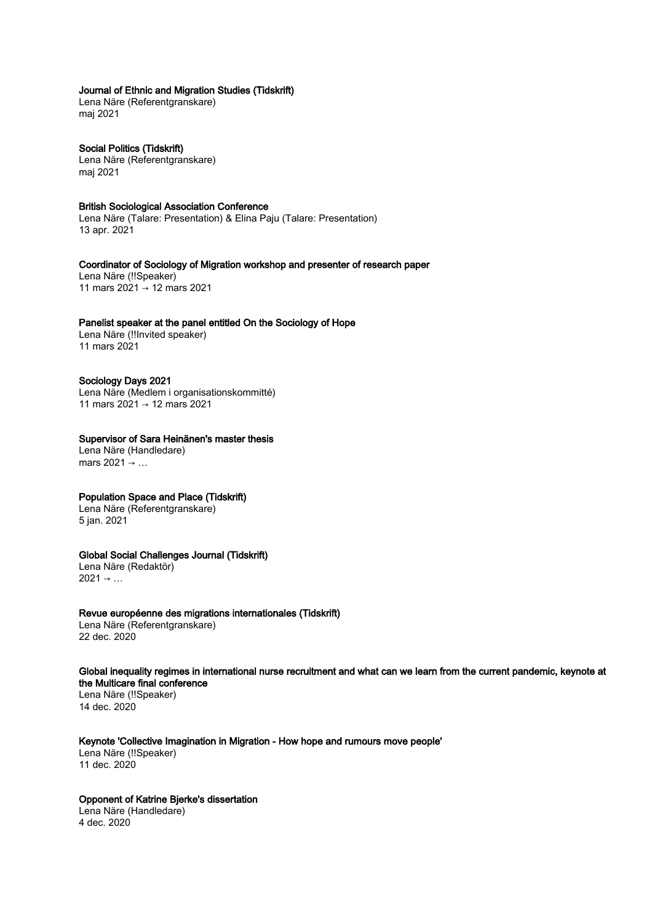## Journal of Ethnic and Migration Studies (Tidskrift)

Lena Näre (Referentgranskare) maj 2021

Social Politics (Tidskrift) Lena Näre (Referentgranskare) maj 2021

#### British Sociological Association Conference

Lena Näre (Talare: Presentation) & Elina Paju (Talare: Presentation) 13 apr. 2021

Coordinator of Sociology of Migration workshop and presenter of research paper Lena Näre (!!Speaker) 11 mars 2021 → 12 mars 2021

## Panelist speaker at the panel entitled On the Sociology of Hope

Lena Näre (!!Invited speaker) 11 mars 2021

#### Sociology Days 2021

Lena Näre (Medlem i organisationskommitté) 11 mars 2021 → 12 mars 2021

## Supervisor of Sara Heinänen's master thesis

Lena Näre (Handledare) mars 2021  $\rightarrow$  ...

## Population Space and Place (Tidskrift)

Lena Näre (Referentgranskare) 5 jan. 2021

## Global Social Challenges Journal (Tidskrift)

Lena Näre (Redaktör)  $2021 \rightarrow ...$ 

#### Revue européenne des migrations internationales (Tidskrift)

Lena Näre (Referentgranskare) 22 dec. 2020

Global inequality regimes in international nurse recruitment and what can we learn from the current pandemic, keynote at the Multicare final conference

Lena Näre (!!Speaker) 14 dec. 2020

## Keynote 'Collective Imagination in Migration - How hope and rumours move people'

Lena Näre (!!Speaker) 11 dec. 2020

## Opponent of Katrine Bjerke's dissertation

Lena Näre (Handledare) 4 dec. 2020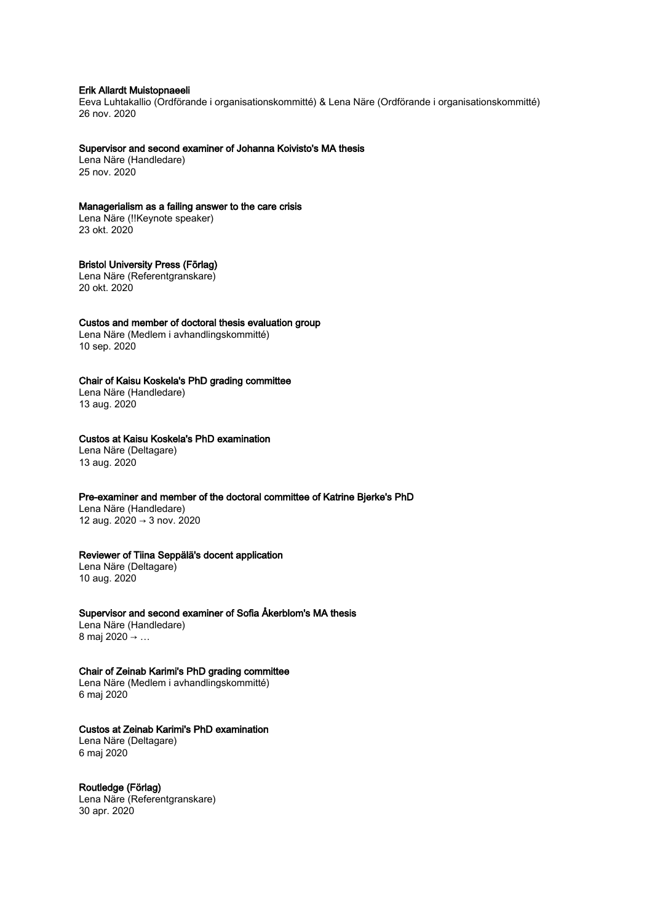#### Erik Allardt Muistopnaeeli

Eeva Luhtakallio (Ordförande i organisationskommitté) & Lena Näre (Ordförande i organisationskommitté) 26 nov. 2020

#### Supervisor and second examiner of Johanna Koivisto's MA thesis

Lena Näre (Handledare) 25 nov. 2020

#### Managerialism as a failing answer to the care crisis

Lena Näre (!!Keynote speaker) 23 okt. 2020

## Bristol University Press (Förlag)

Lena Näre (Referentgranskare) 20 okt. 2020

#### Custos and member of doctoral thesis evaluation group

Lena Näre (Medlem i avhandlingskommitté) 10 sep. 2020

## Chair of Kaisu Koskela's PhD grading committee

Lena Näre (Handledare) 13 aug. 2020

## Custos at Kaisu Koskela's PhD examination

Lena Näre (Deltagare) 13 aug. 2020

## Pre-examiner and member of the doctoral committee of Katrine Bjerke's PhD

Lena Näre (Handledare) 12 aug. 2020 → 3 nov. 2020

## Reviewer of Tiina Seppälä's docent application

Lena Näre (Deltagare) 10 aug. 2020

#### Supervisor and second examiner of Sofia Åkerblom's MA thesis

Lena Näre (Handledare) 8 maj 2020 → …

### Chair of Zeinab Karimi's PhD grading committee

Lena Näre (Medlem i avhandlingskommitté) 6 maj 2020

## Custos at Zeinab Karimi's PhD examination

Lena Näre (Deltagare) 6 maj 2020

#### Routledge (Förlag)

Lena Näre (Referentgranskare) 30 apr. 2020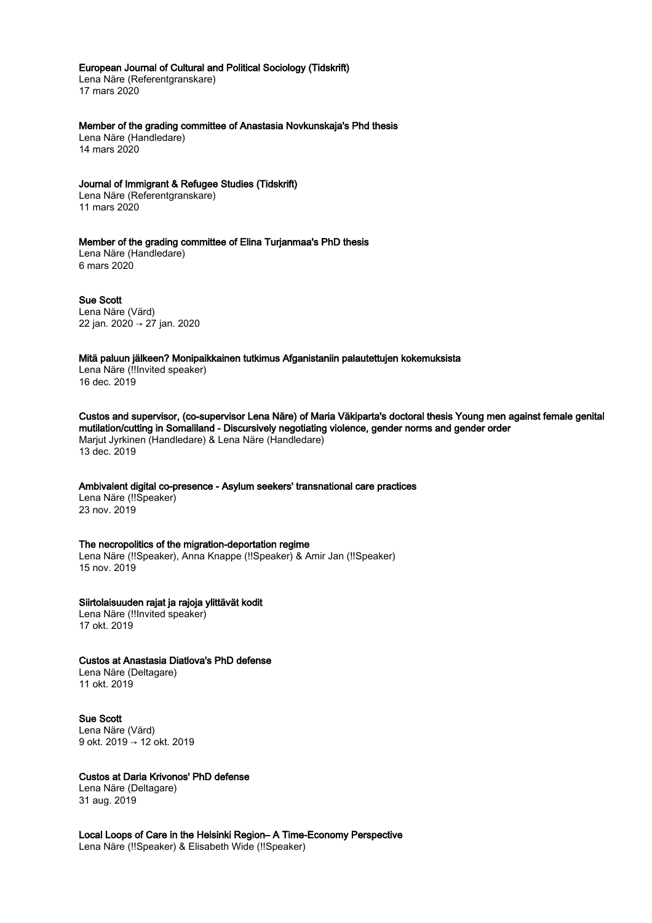#### European Journal of Cultural and Political Sociology (Tidskrift)

Lena Näre (Referentgranskare) 17 mars 2020

Member of the grading committee of Anastasia Novkunskaja's Phd thesis

Lena Näre (Handledare) 14 mars 2020

#### Journal of Immigrant & Refugee Studies (Tidskrift)

Lena Näre (Referentgranskare) 11 mars 2020

# Member of the grading committee of Elina Turjanmaa's PhD thesis Lena Näre (Handledare)

6 mars 2020

Sue Scott Lena Näre (Värd) 22 jan. 2020 → 27 jan. 2020

#### Mitä paluun jälkeen? Monipaikkainen tutkimus Afganistaniin palautettujen kokemuksista

Lena Näre (!!Invited speaker) 16 dec. 2019

Custos and supervisor, (co-supervisor Lena Näre) of Maria Väkiparta's doctoral thesis Young men against female genital mutilation/cutting in Somaliland - Discursively negotiating violence, gender norms and gender order Marjut Jyrkinen (Handledare) & Lena Näre (Handledare) 13 dec. 2019

## Ambivalent digital co-presence - Asylum seekers' transnational care practices

Lena Näre (!!Speaker) 23 nov. 2019

#### The necropolitics of the migration-deportation regime

Lena Näre (!!Speaker), Anna Knappe (!!Speaker) & Amir Jan (!!Speaker) 15 nov. 2019

## Siirtolaisuuden rajat ja rajoja ylittävät kodit

Lena Näre (!!Invited speaker) 17 okt. 2019

## Custos at Anastasia Diatlova's PhD defense

Lena Näre (Deltagare) 11 okt. 2019

## Sue Scott

Lena Näre (Värd) 9 okt. 2019 → 12 okt. 2019

## Custos at Daria Krivonos' PhD defense

Lena Näre (Deltagare) 31 aug. 2019

Local Loops of Care in the Helsinki Region– A Time-Economy Perspective Lena Näre (!!Speaker) & Elisabeth Wide (!!Speaker)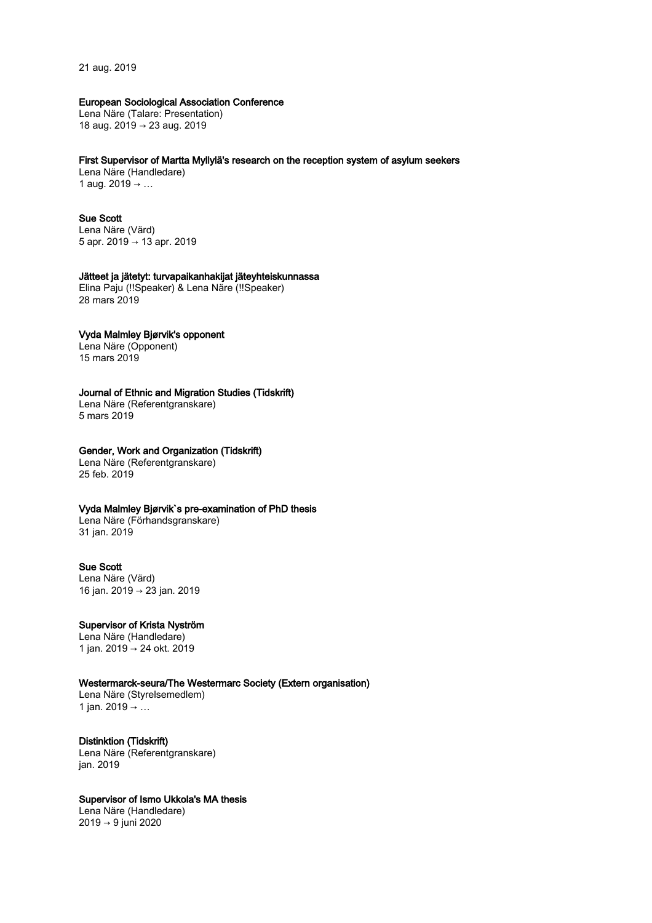21 aug. 2019

## European Sociological Association Conference

Lena Näre (Talare: Presentation) 18 aug. 2019 → 23 aug. 2019

#### First Supervisor of Martta Myllylä's research on the reception system of asylum seekers

Lena Näre (Handledare) 1 aug. 2019 → …

## Sue Scott

Lena Näre (Värd) 5 apr. 2019 → 13 apr. 2019

#### Jätteet ja jätetyt: turvapaikanhakijat jäteyhteiskunnassa

Elina Paju (!!Speaker) & Lena Näre (!!Speaker) 28 mars 2019

## Vyda Malmley Bjørvik's opponent

Lena Näre (Opponent) 15 mars 2019

## Journal of Ethnic and Migration Studies (Tidskrift)

Lena Näre (Referentgranskare) 5 mars 2019

## Gender, Work and Organization (Tidskrift)

Lena Näre (Referentgranskare) 25 feb. 2019

## Vyda Malmley Bjørvik`s pre-examination of PhD thesis

Lena Näre (Förhandsgranskare) 31 jan. 2019

#### Sue Scott

Lena Näre (Värd) 16 jan. 2019 → 23 jan. 2019

## Supervisor of Krista Nyström

Lena Näre (Handledare) 1 jan. 2019 → 24 okt. 2019

#### Westermarck-seura/The Westermarc Society (Extern organisation)

Lena Näre (Styrelsemedlem) 1 jan. 2019 → ...

## Distinktion (Tidskrift)

Lena Näre (Referentgranskare) jan. 2019

# Supervisor of Ismo Ukkola's MA thesis

Lena Näre (Handledare) 2019 → 9 juni 2020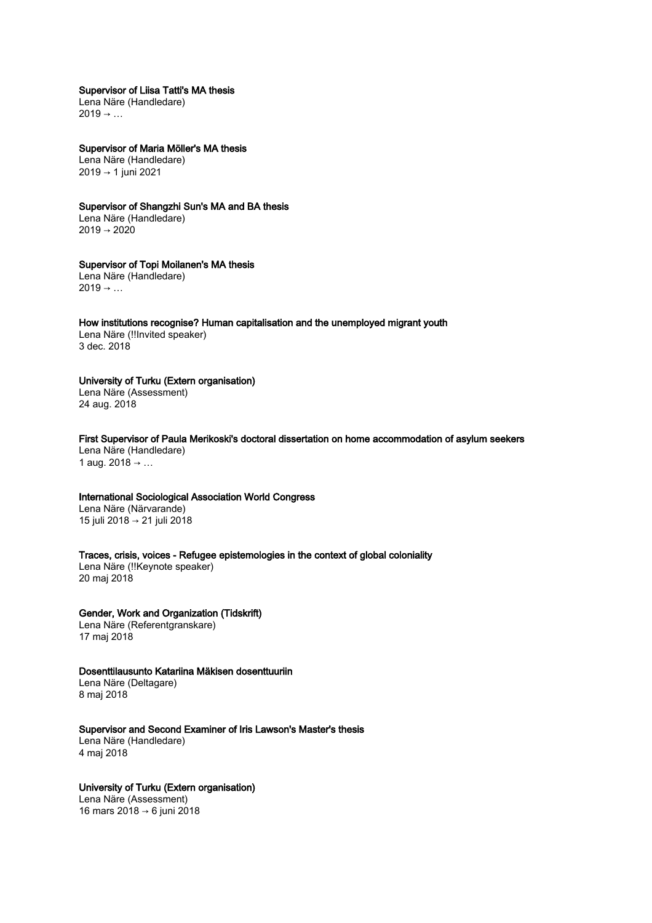#### Supervisor of Liisa Tatti's MA thesis

Lena Näre (Handledare)  $2019 \rightarrow ...$ 

# Supervisor of Maria Möller's MA thesis

Lena Näre (Handledare) 2019 → 1 juni 2021

## Supervisor of Shangzhi Sun's MA and BA thesis

Lena Näre (Handledare) 2019 → 2020

# Supervisor of Topi Moilanen's MA thesis

Lena Näre (Handledare)  $2019 \rightarrow ...$ 

#### How institutions recognise? Human capitalisation and the unemployed migrant youth

Lena Näre (!!Invited speaker) 3 dec. 2018

## University of Turku (Extern organisation)

Lena Näre (Assessment) 24 aug. 2018

# First Supervisor of Paula Merikoski's doctoral dissertation on home accommodation of asylum seekers

Lena Näre (Handledare) 1 aug.  $2018 → ...$ 

## International Sociological Association World Congress

Lena Näre (Närvarande) 15 juli 2018 → 21 juli 2018

## Traces, crisis, voices - Refugee epistemologies in the context of global coloniality

Lena Näre (!!Keynote speaker) 20 maj 2018

## Gender, Work and Organization (Tidskrift) Lena Näre (Referentgranskare)

17 maj 2018

## Dosenttilausunto Katariina Mäkisen dosenttuuriin

Lena Näre (Deltagare) 8 maj 2018

## Supervisor and Second Examiner of Iris Lawson's Master's thesis

Lena Näre (Handledare) 4 maj 2018

## University of Turku (Extern organisation)

Lena Näre (Assessment) 16 mars 2018 → 6 juni 2018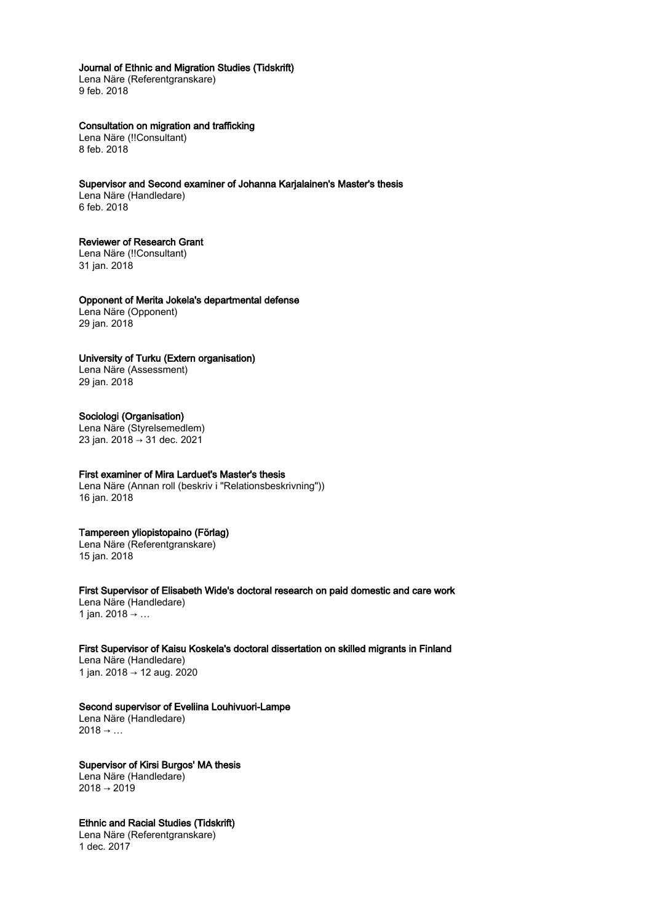## Journal of Ethnic and Migration Studies (Tidskrift)

Lena Näre (Referentgranskare) 9 feb. 2018

## Consultation on migration and trafficking

Lena Näre (!!Consultant) 8 feb. 2018

## Supervisor and Second examiner of Johanna Karjalainen's Master's thesis

Lena Näre (Handledare) 6 feb. 2018

## Reviewer of Research Grant

Lena Näre (!!Consultant) 31 jan. 2018

Opponent of Merita Jokela's departmental defense Lena Näre (Opponent) 29 jan. 2018

## University of Turku (Extern organisation)

Lena Näre (Assessment) 29 jan. 2018

## Sociologi (Organisation)

Lena Näre (Styrelsemedlem) 23 jan. 2018 → 31 dec. 2021

## First examiner of Mira Larduet's Master's thesis

Lena Näre (Annan roll (beskriv i "Relationsbeskrivning")) 16 jan. 2018

## Tampereen yliopistopaino (Förlag)

Lena Näre (Referentgranskare) 15 jan. 2018

First Supervisor of Elisabeth Wide's doctoral research on paid domestic and care work Lena Näre (Handledare) 1 jan. 2018 → ...

# First Supervisor of Kaisu Koskela's doctoral dissertation on skilled migrants in Finland

Lena Näre (Handledare) 1 jan. 2018 → 12 aug. 2020

## Second supervisor of Eveliina Louhivuori-Lampe

Lena Näre (Handledare)  $2018 \rightarrow ...$ 

Supervisor of Kirsi Burgos' MA thesis Lena Näre (Handledare)  $2018 \rightarrow 2019$ 

Ethnic and Racial Studies (Tidskrift) Lena Näre (Referentgranskare) 1 dec. 2017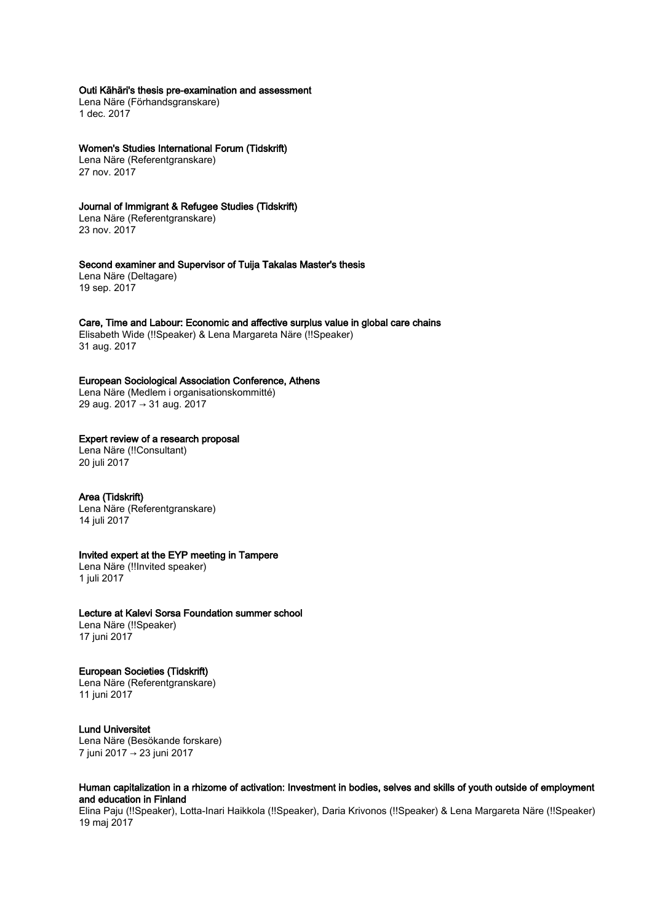## Outi Kähäri's thesis pre-examination and assessment

Lena Näre (Förhandsgranskare) 1 dec. 2017

Women's Studies International Forum (Tidskrift)

Lena Näre (Referentgranskare) 27 nov. 2017

### Journal of Immigrant & Refugee Studies (Tidskrift)

Lena Näre (Referentgranskare) 23 nov. 2017

Second examiner and Supervisor of Tuija Takalas Master's thesis Lena Näre (Deltagare)

19 sep. 2017

#### Care, Time and Labour: Economic and affective surplus value in global care chains

Elisabeth Wide (!!Speaker) & Lena Margareta Näre (!!Speaker) 31 aug. 2017

## European Sociological Association Conference, Athens

Lena Näre (Medlem i organisationskommitté) 29 aug. 2017 → 31 aug. 2017

## Expert review of a research proposal

Lena Näre (!!Consultant) 20 juli 2017

## Area (Tidskrift)

Lena Näre (Referentgranskare) 14 juli 2017

## Invited expert at the EYP meeting in Tampere

Lena Näre (!!Invited speaker) 1 juli 2017

#### Lecture at Kalevi Sorsa Foundation summer school

Lena Näre (!!Speaker) 17 juni 2017

## European Societies (Tidskrift)

Lena Näre (Referentgranskare) 11 juni 2017

#### Lund Universitet

Lena Näre (Besökande forskare) 7 juni 2017 → 23 juni 2017

## Human capitalization in a rhizome of activation: Investment in bodies, selves and skills of youth outside of employment and education in Finland

Elina Paju (!!Speaker), Lotta-Inari Haikkola (!!Speaker), Daria Krivonos (!!Speaker) & Lena Margareta Näre (!!Speaker) 19 maj 2017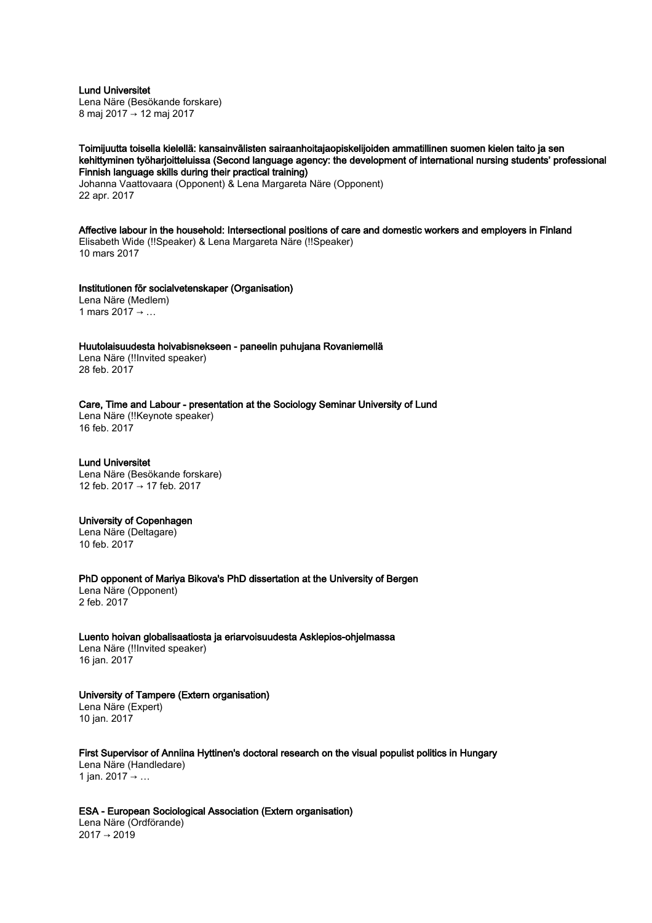Lund Universitet Lena Näre (Besökande forskare) 8 maj 2017 → 12 maj 2017

## Toimijuutta toisella kielellä: kansainvälisten sairaanhoitajaopiskelijoiden ammatillinen suomen kielen taito ja sen kehittyminen työharjoitteluissa (Second language agency: the development of international nursing students' professional Finnish language skills during their practical training)

Johanna Vaattovaara (Opponent) & Lena Margareta Näre (Opponent) 22 apr. 2017

Affective labour in the household: Intersectional positions of care and domestic workers and employers in Finland Elisabeth Wide (!!Speaker) & Lena Margareta Näre (!!Speaker) 10 mars 2017

#### Institutionen för socialvetenskaper (Organisation)

Lena Näre (Medlem) 1 mars 2017 → …

## Huutolaisuudesta hoivabisnekseen - paneelin puhujana Rovaniemellä

Lena Näre (!!Invited speaker) 28 feb. 2017

## Care, Time and Labour - presentation at the Sociology Seminar University of Lund

Lena Näre (!!Keynote speaker) 16 feb. 2017

## Lund Universitet

Lena Näre (Besökande forskare) 12 feb. 2017 → 17 feb. 2017

#### University of Copenhagen

Lena Näre (Deltagare) 10 feb. 2017

PhD opponent of Mariya Bikova's PhD dissertation at the University of Bergen Lena Näre (Opponent) 2 feb. 2017

Luento hoivan globalisaatiosta ja eriarvoisuudesta Asklepios-ohjelmassa Lena Näre (!!Invited speaker) 16 jan. 2017

## University of Tampere (Extern organisation)

Lena Näre (Expert) 10 jan. 2017

First Supervisor of Anniina Hyttinen's doctoral research on the visual populist politics in Hungary Lena Näre (Handledare) 1 jan. 2017 → ...

ESA - European Sociological Association (Extern organisation) Lena Näre (Ordförande)  $2017 \rightarrow 2019$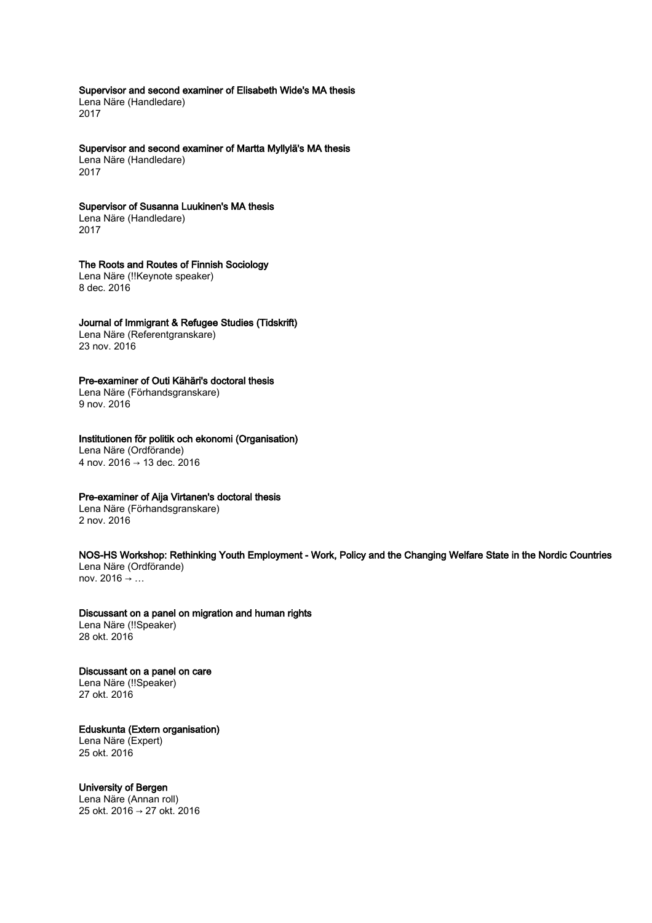Supervisor and second examiner of Elisabeth Wide's MA thesis

Lena Näre (Handledare) 2017

Supervisor and second examiner of Martta Myllylä's MA thesis

Lena Näre (Handledare) 2017

Supervisor of Susanna Luukinen's MA thesis Lena Näre (Handledare)

2017

## The Roots and Routes of Finnish Sociology

Lena Näre (!!Keynote speaker) 8 dec. 2016

## Journal of Immigrant & Refugee Studies (Tidskrift)

Lena Näre (Referentgranskare) 23 nov. 2016

## Pre-examiner of Outi Kähäri's doctoral thesis

Lena Näre (Förhandsgranskare) 9 nov. 2016

## Institutionen för politik och ekonomi (Organisation)

Lena Näre (Ordförande) 4 nov. 2016 → 13 dec. 2016

## Pre-examiner of Aija Virtanen's doctoral thesis

Lena Näre (Förhandsgranskare) 2 nov. 2016

## NOS-HS Workshop: Rethinking Youth Employment - Work, Policy and the Changing Welfare State in the Nordic Countries Lena Näre (Ordförande)

nov. 2016 → …

# Discussant on a panel on migration and human rights

Lena Näre (!!Speaker) 28 okt. 2016

# Discussant on a panel on care Lena Näre (!!Speaker)

27 okt. 2016

#### Eduskunta (Extern organisation) Lena Näre (Expert)

25 okt. 2016

# University of Bergen

Lena Näre (Annan roll) 25 okt. 2016 → 27 okt. 2016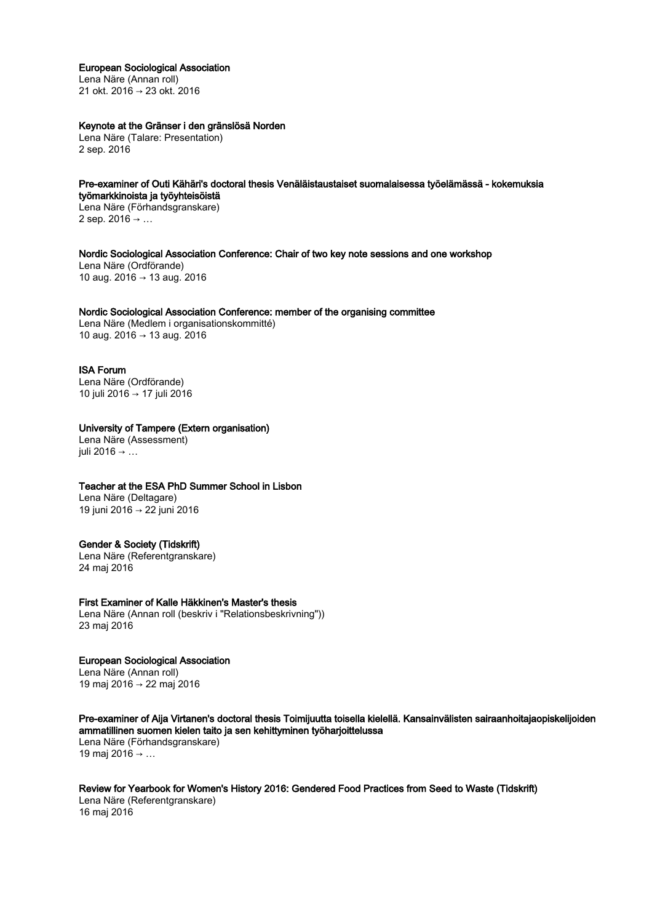#### European Sociological Association

Lena Näre (Annan roll) 21 okt. 2016 → 23 okt. 2016

## Keynote at the Gränser i den gränslösä Norden

Lena Näre (Talare: Presentation) 2 sep. 2016

#### Pre-examiner of Outi Kähäri's doctoral thesis Venäläistaustaiset suomalaisessa työelämässä - kokemuksia työmarkkinoista ja työyhteisöistä

Lena Näre (Förhandsgranskare) 2 sep. 2016 → …

### Nordic Sociological Association Conference: Chair of two key note sessions and one workshop

Lena Näre (Ordförande) 10 aug. 2016 → 13 aug. 2016

#### Nordic Sociological Association Conference: member of the organising committee

Lena Näre (Medlem i organisationskommitté) 10 aug. 2016 → 13 aug. 2016

#### ISA Forum

Lena Näre (Ordförande) 10 juli 2016 → 17 juli 2016

## University of Tampere (Extern organisation)

Lena Näre (Assessment) iuli 2016  $\rightarrow$  ...

#### Teacher at the ESA PhD Summer School in Lisbon

Lena Näre (Deltagare) 19 juni 2016 → 22 juni 2016

#### Gender & Society (Tidskrift)

Lena Näre (Referentgranskare) 24 maj 2016

#### First Examiner of Kalle Häkkinen's Master's thesis

Lena Näre (Annan roll (beskriv i "Relationsbeskrivning")) 23 maj 2016

# European Sociological Association

Lena Näre (Annan roll) 19 maj 2016 → 22 maj 2016

Pre-examiner of Aija Virtanen's doctoral thesis Toimijuutta toisella kielellä. Kansainvälisten sairaanhoitajaopiskelijoiden ammatillinen suomen kielen taito ja sen kehittyminen työharjoittelussa Lena Näre (Förhandsgranskare) 19 maj 2016 → …

Review for Yearbook for Women's History 2016: Gendered Food Practices from Seed to Waste (Tidskrift) Lena Näre (Referentgranskare) 16 maj 2016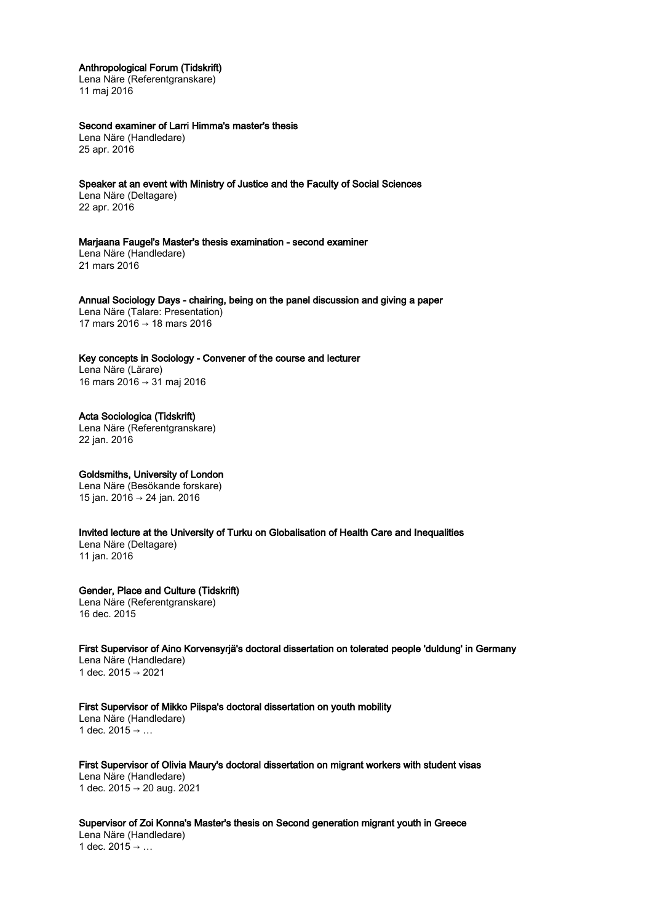Anthropological Forum (Tidskrift)

Lena Näre (Referentgranskare) 11 maj 2016

Second examiner of Larri Himma's master's thesis

Lena Näre (Handledare) 25 apr. 2016

Speaker at an event with Ministry of Justice and the Faculty of Social Sciences Lena Näre (Deltagare) 22 apr. 2016

Marjaana Faugel's Master's thesis examination - second examiner Lena Näre (Handledare) 21 mars 2016

Annual Sociology Days - chairing, being on the panel discussion and giving a paper Lena Näre (Talare: Presentation) 17 mars 2016 → 18 mars 2016

Key concepts in Sociology - Convener of the course and lecturer Lena Näre (Lärare) 16 mars 2016 → 31 maj 2016

Acta Sociologica (Tidskrift) Lena Näre (Referentgranskare) 22 jan. 2016

Goldsmiths, University of London Lena Näre (Besökande forskare) 15 jan. 2016 → 24 jan. 2016

Invited lecture at the University of Turku on Globalisation of Health Care and Inequalities

Lena Näre (Deltagare) 11 jan. 2016

Gender, Place and Culture (Tidskrift) Lena Näre (Referentgranskare) 16 dec. 2015

First Supervisor of Aino Korvensyrjä's doctoral dissertation on tolerated people 'duldung' in Germany Lena Näre (Handledare) 1 dec. 2015 → 2021

First Supervisor of Mikko Piispa's doctoral dissertation on youth mobility Lena Näre (Handledare) 1 dec.  $2015 \rightarrow ...$ 

First Supervisor of Olivia Maury's doctoral dissertation on migrant workers with student visas Lena Näre (Handledare) 1 dec. 2015 → 20 aug. 2021

Supervisor of Zoi Konna's Master's thesis on Second generation migrant youth in Greece Lena Näre (Handledare) 1 dec. 2015 → ...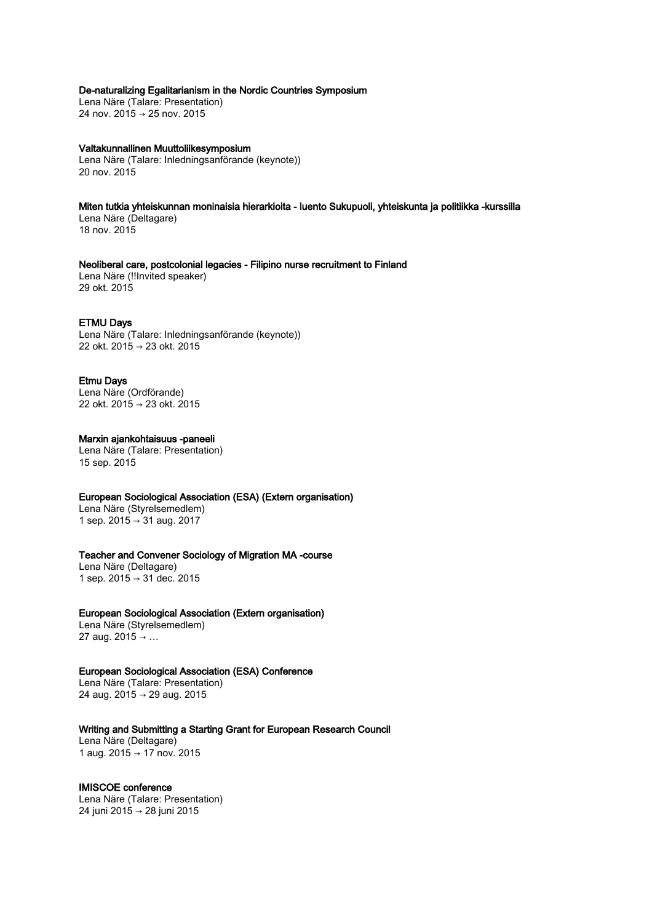## De-naturalizing Egalitarianism in the Nordic Countries Symposium

Lena Näre (Talare: Presentation) 24 nov. 2015 → 25 nov. 2015

#### Valtakunnallinen Muuttoliikesymposium Lena Näre (Talare: Inledningsanförande (keynote)) 20 nov. 2015

Miten tutkia yhteiskunnan moninaisia hierarkioita - luento Sukupuoli, yhteiskunta ja politiikka -kurssilla Lena Näre (Deltagare) 18 nov. 2015

Neoliberal care, postcolonial legacies - Filipino nurse recruitment to Finland Lena Näre (!!Invited speaker) 29 okt. 2015

## ETMU Days

Lena Näre (Talare: Inledningsanförande (keynote)) 22 okt. 2015 → 23 okt. 2015

## Etmu Days

Lena Näre (Ordförande) 22 okt. 2015 → 23 okt. 2015

# Marxin ajankohtaisuus -paneeli

Lena Näre (Talare: Presentation) 15 sep. 2015

## European Sociological Association (ESA) (Extern organisation)

Lena Näre (Styrelsemedlem) 1 sep. 2015 → 31 aug. 2017

#### Teacher and Convener Sociology of Migration MA -course

Lena Näre (Deltagare) 1 sep. 2015 → 31 dec. 2015

## European Sociological Association (Extern organisation)

Lena Näre (Styrelsemedlem) 27 aug. 2015 → …

#### European Sociological Association (ESA) Conference

Lena Näre (Talare: Presentation) 24 aug. 2015 → 29 aug. 2015

## Writing and Submitting a Starting Grant for European Research Council

Lena Näre (Deltagare) 1 aug. 2015 → 17 nov. 2015

# IMISCOE conference

Lena Näre (Talare: Presentation) 24 juni 2015 → 28 juni 2015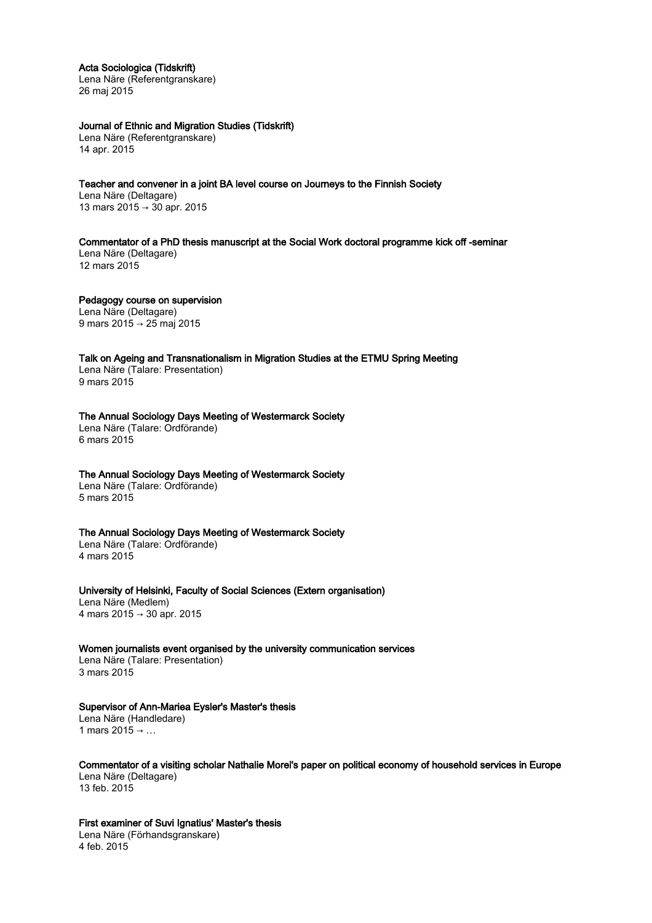#### Acta Sociologica (Tidskrift)

Lena Näre (Referentgranskare) 26 maj 2015

## Journal of Ethnic and Migration Studies (Tidskrift)

Lena Näre (Referentgranskare) 14 apr. 2015

Teacher and convener in a joint BA level course on Journeys to the Finnish Society Lena Näre (Deltagare) 13 mars 2015 → 30 apr. 2015

Commentator of a PhD thesis manuscript at the Social Work doctoral programme kick off -seminar Lena Näre (Deltagare) 12 mars 2015

Pedagogy course on supervision Lena Näre (Deltagare) 9 mars 2015 → 25 maj 2015

Talk on Ageing and Transnationalism in Migration Studies at the ETMU Spring Meeting Lena Näre (Talare: Presentation) 9 mars 2015

The Annual Sociology Days Meeting of Westermarck Society Lena Näre (Talare: Ordförande) 6 mars 2015

## The Annual Sociology Days Meeting of Westermarck Society

Lena Näre (Talare: Ordförande) 5 mars 2015

## The Annual Sociology Days Meeting of Westermarck Society

Lena Näre (Talare: Ordförande) 4 mars 2015

University of Helsinki, Faculty of Social Sciences (Extern organisation)

Lena Näre (Medlem) 4 mars 2015 → 30 apr. 2015

#### Women journalists event organised by the university communication services

Lena Näre (Talare: Presentation) 3 mars 2015

#### Supervisor of Ann-Mariea Eysler's Master's thesis

Lena Näre (Handledare) 1 mars 2015 → ...

Commentator of a visiting scholar Nathalie Morel's paper on political economy of household services in Europe Lena Näre (Deltagare) 13 feb. 2015

First examiner of Suvi Ignatius' Master's thesis

Lena Näre (Förhandsgranskare) 4 feb. 2015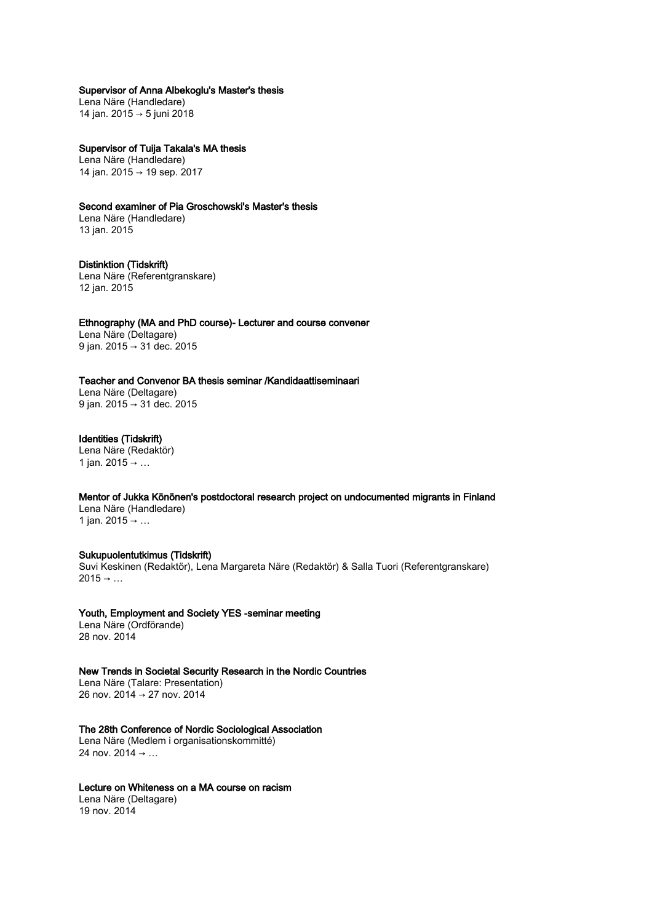Supervisor of Anna Albekoglu's Master's thesis

Lena Näre (Handledare) 14 jan. 2015 → 5 juni 2018

Supervisor of Tuija Takala's MA thesis Lena Näre (Handledare)

14 jan. 2015 → 19 sep. 2017

Second examiner of Pia Groschowski's Master's thesis

Lena Näre (Handledare) 13 jan. 2015

Distinktion (Tidskrift) Lena Näre (Referentgranskare) 12 jan. 2015

Ethnography (MA and PhD course)- Lecturer and course convener Lena Näre (Deltagare) 9 jan. 2015 → 31 dec. 2015

Teacher and Convenor BA thesis seminar /Kandidaattiseminaari Lena Näre (Deltagare) 9 jan. 2015 → 31 dec. 2015

Identities (Tidskrift) Lena Näre (Redaktör) 1 jan. 2015 → ...

Mentor of Jukka Könönen's postdoctoral research project on undocumented migrants in Finland Lena Näre (Handledare) 1 jan. 2015 → …

## Sukupuolentutkimus (Tidskrift)

Suvi Keskinen (Redaktör), Lena Margareta Näre (Redaktör) & Salla Tuori (Referentgranskare)  $2015 \rightarrow \ldots$ 

Youth, Employment and Society YES -seminar meeting Lena Näre (Ordförande)

28 nov. 2014

New Trends in Societal Security Research in the Nordic Countries

Lena Näre (Talare: Presentation) 26 nov. 2014 → 27 nov. 2014

The 28th Conference of Nordic Sociological Association

Lena Näre (Medlem i organisationskommitté) 24 nov.  $2014 \rightarrow ...$ 

## Lecture on Whiteness on a MA course on racism

Lena Näre (Deltagare) 19 nov. 2014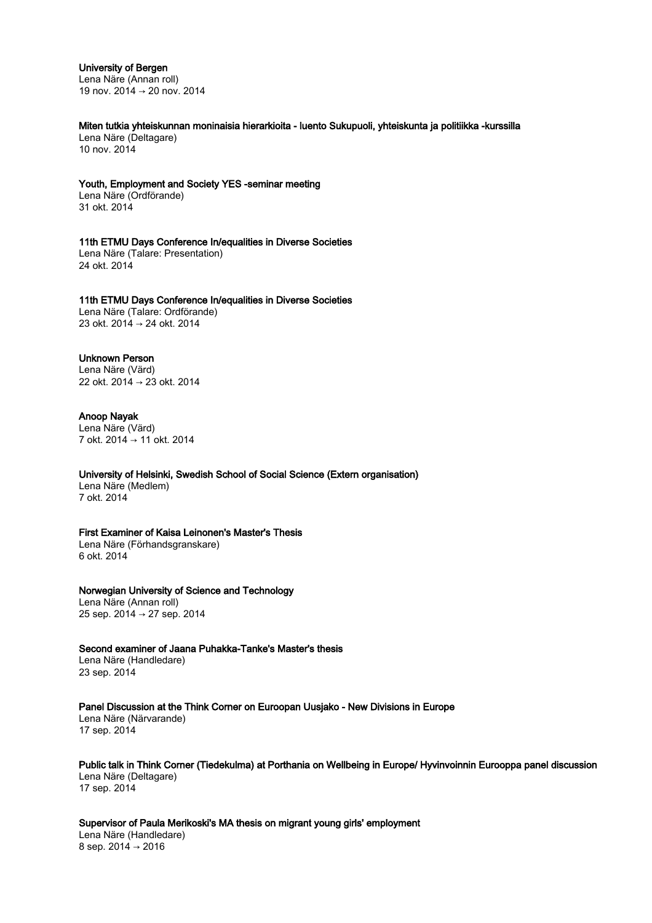#### University of Bergen

Lena Näre (Annan roll) 19 nov. 2014 → 20 nov. 2014

Miten tutkia yhteiskunnan moninaisia hierarkioita - luento Sukupuoli, yhteiskunta ja politiikka -kurssilla Lena Näre (Deltagare) 10 nov. 2014

Youth, Employment and Society YES -seminar meeting Lena Näre (Ordförande)

31 okt. 2014

11th ETMU Days Conference In/equalities in Diverse Societies Lena Näre (Talare: Presentation) 24 okt. 2014

11th ETMU Days Conference In/equalities in Diverse Societies Lena Näre (Talare: Ordförande)

23 okt. 2014 → 24 okt. 2014

# Unknown Person

Lena Näre (Värd) 22 okt. 2014 → 23 okt. 2014

## Anoop Nayak

Lena Näre (Värd) 7 okt. 2014 → 11 okt. 2014

# University of Helsinki, Swedish School of Social Science (Extern organisation)

Lena Näre (Medlem) 7 okt. 2014

## First Examiner of Kaisa Leinonen's Master's Thesis

Lena Näre (Förhandsgranskare) 6 okt. 2014

## Norwegian University of Science and Technology

Lena Näre (Annan roll) 25 sep. 2014 → 27 sep. 2014

Second examiner of Jaana Puhakka-Tanke's Master's thesis Lena Näre (Handledare) 23 sep. 2014

Panel Discussion at the Think Corner on Euroopan Uusjako - New Divisions in Europe

Lena Näre (Närvarande) 17 sep. 2014

Public talk in Think Corner (Tiedekulma) at Porthania on Wellbeing in Europe/ Hyvinvoinnin Eurooppa panel discussion Lena Näre (Deltagare) 17 sep. 2014

Supervisor of Paula Merikoski's MA thesis on migrant young girls' employment

Lena Näre (Handledare) 8 sep. 2014 → 2016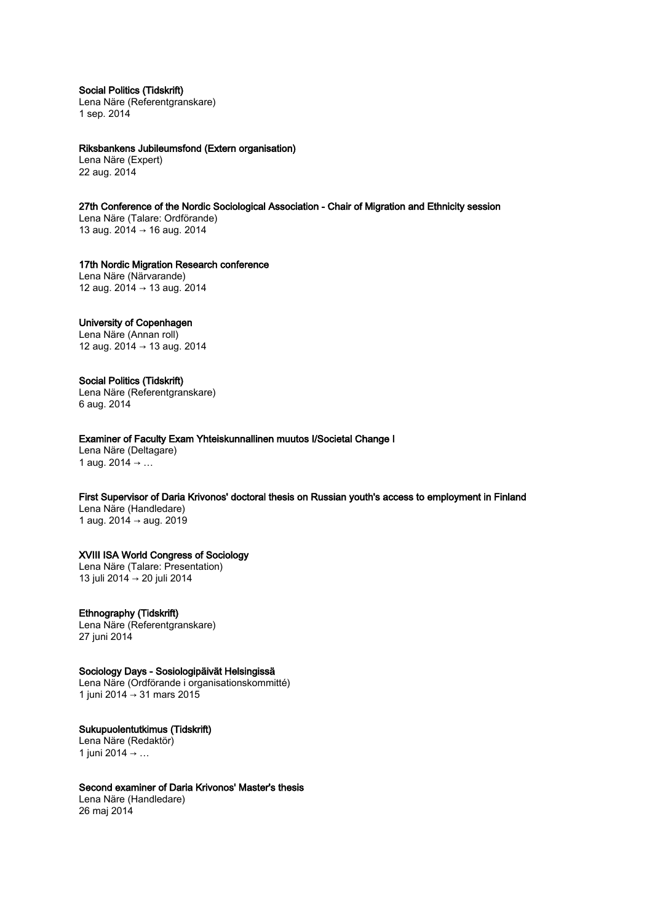Social Politics (Tidskrift)

Lena Näre (Referentgranskare) 1 sep. 2014

Riksbankens Jubileumsfond (Extern organisation) Lena Näre (Expert) 22 aug. 2014

27th Conference of the Nordic Sociological Association - Chair of Migration and Ethnicity session Lena Näre (Talare: Ordförande) 13 aug. 2014 → 16 aug. 2014

17th Nordic Migration Research conference Lena Näre (Närvarande)

12 aug. 2014 → 13 aug. 2014

# University of Copenhagen

Lena Näre (Annan roll) 12 aug. 2014 → 13 aug. 2014

## Social Politics (Tidskrift)

Lena Näre (Referentgranskare) 6 aug. 2014

Examiner of Faculty Exam Yhteiskunnallinen muutos I/Societal Change I

Lena Näre (Deltagare) 1 aug.  $2014 → ...$ 

First Supervisor of Daria Krivonos' doctoral thesis on Russian youth's access to employment in Finland

Lena Näre (Handledare) 1 aug. 2014 → aug. 2019

## XVIII ISA World Congress of Sociology

Lena Näre (Talare: Presentation) 13 juli 2014 → 20 juli 2014

## Ethnography (Tidskrift)

Lena Näre (Referentgranskare) 27 juni 2014

## Sociology Days - Sosiologipäivät Helsingissä

Lena Näre (Ordförande i organisationskommitté) 1 juni 2014 → 31 mars 2015

# Sukupuolentutkimus (Tidskrift)

Lena Näre (Redaktör) 1 juni 2014 → ...

## Second examiner of Daria Krivonos' Master's thesis

Lena Näre (Handledare) 26 maj 2014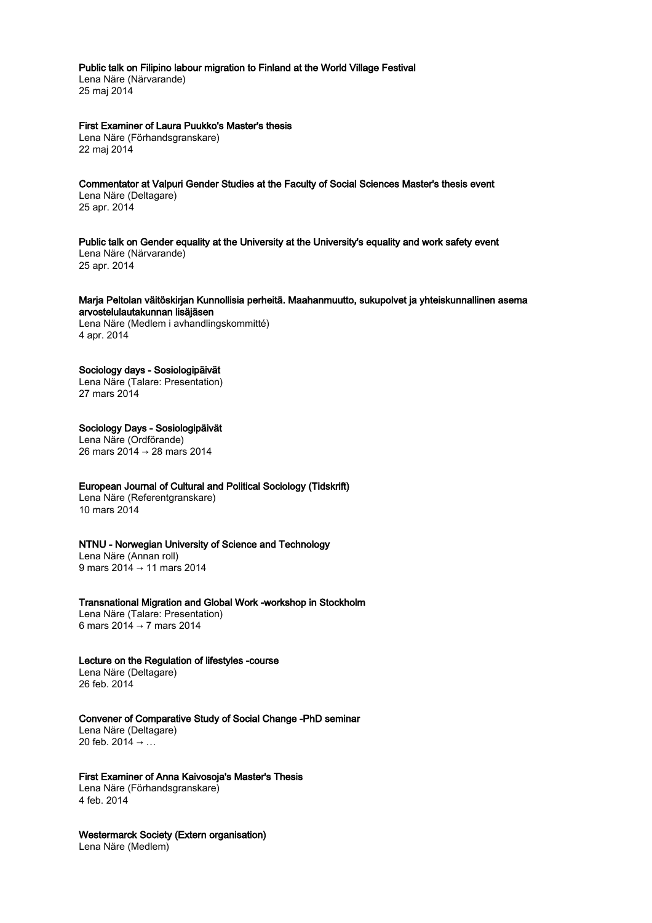## Public talk on Filipino labour migration to Finland at the World Village Festival

Lena Näre (Närvarande) 25 maj 2014

### First Examiner of Laura Puukko's Master's thesis

Lena Näre (Förhandsgranskare) 22 maj 2014

Commentator at Valpuri Gender Studies at the Faculty of Social Sciences Master's thesis event Lena Näre (Deltagare) 25 apr. 2014

Public talk on Gender equality at the University at the University's equality and work safety event Lena Näre (Närvarande) 25 apr. 2014

#### Marja Peltolan väitöskirjan Kunnollisia perheitä. Maahanmuutto, sukupolvet ja yhteiskunnallinen asema arvostelulautakunnan lisäjäsen

Lena Näre (Medlem i avhandlingskommitté) 4 apr. 2014

#### Sociology days - Sosiologipäivät

Lena Näre (Talare: Presentation) 27 mars 2014

Sociology Days - Sosiologipäivät Lena Näre (Ordförande) 26 mars 2014 → 28 mars 2014

## European Journal of Cultural and Political Sociology (Tidskrift)

Lena Näre (Referentgranskare) 10 mars 2014

#### NTNU - Norwegian University of Science and Technology

Lena Näre (Annan roll) 9 mars 2014 → 11 mars 2014

#### Transnational Migration and Global Work -workshop in Stockholm

Lena Näre (Talare: Presentation) 6 mars 2014 → 7 mars 2014

## Lecture on the Regulation of lifestyles -course

Lena Näre (Deltagare) 26 feb. 2014

#### Convener of Comparative Study of Social Change -PhD seminar Lena Näre (Deltagare)

20 feb.  $2014 \rightarrow ...$ 

## First Examiner of Anna Kaivosoja's Master's Thesis

Lena Näre (Förhandsgranskare) 4 feb. 2014

Westermarck Society (Extern organisation) Lena Näre (Medlem)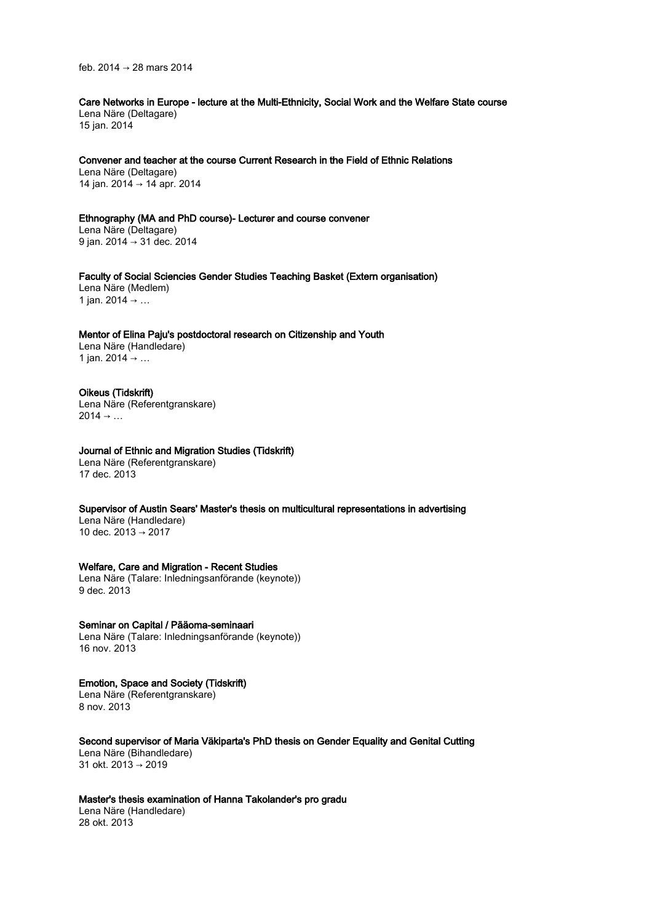feb. 2014 → 28 mars 2014

Care Networks in Europe - lecture at the Multi-Ethnicity, Social Work and the Welfare State course Lena Näre (Deltagare) 15 jan. 2014

Convener and teacher at the course Current Research in the Field of Ethnic Relations Lena Näre (Deltagare) 14 jan. 2014 → 14 apr. 2014

Ethnography (MA and PhD course)- Lecturer and course convener Lena Näre (Deltagare) 9 jan. 2014 → 31 dec. 2014

Faculty of Social Sciencies Gender Studies Teaching Basket (Extern organisation) Lena Näre (Medlem) 1 jan. 2014 → …

Mentor of Elina Paju's postdoctoral research on Citizenship and Youth Lena Näre (Handledare) 1 jan. 2014 → …

#### Oikeus (Tidskrift) Lena Näre (Referentgranskare)  $2014 \rightarrow ...$

## Journal of Ethnic and Migration Studies (Tidskrift)

Lena Näre (Referentgranskare) 17 dec. 2013

Supervisor of Austin Sears' Master's thesis on multicultural representations in advertising Lena Näre (Handledare)

10 dec. 2013 → 2017

# Welfare, Care and Migration - Recent Studies

Lena Näre (Talare: Inledningsanförande (keynote)) 9 dec. 2013

Seminar on Capital / Pääoma-seminaari Lena Näre (Talare: Inledningsanförande (keynote)) 16 nov. 2013

Emotion, Space and Society (Tidskrift) Lena Näre (Referentgranskare)

8 nov. 2013

Second supervisor of Maria Väkiparta's PhD thesis on Gender Equality and Genital Cutting Lena Näre (Bihandledare)

31 okt. 2013 → 2019

Master's thesis examination of Hanna Takolander's pro gradu Lena Näre (Handledare) 28 okt. 2013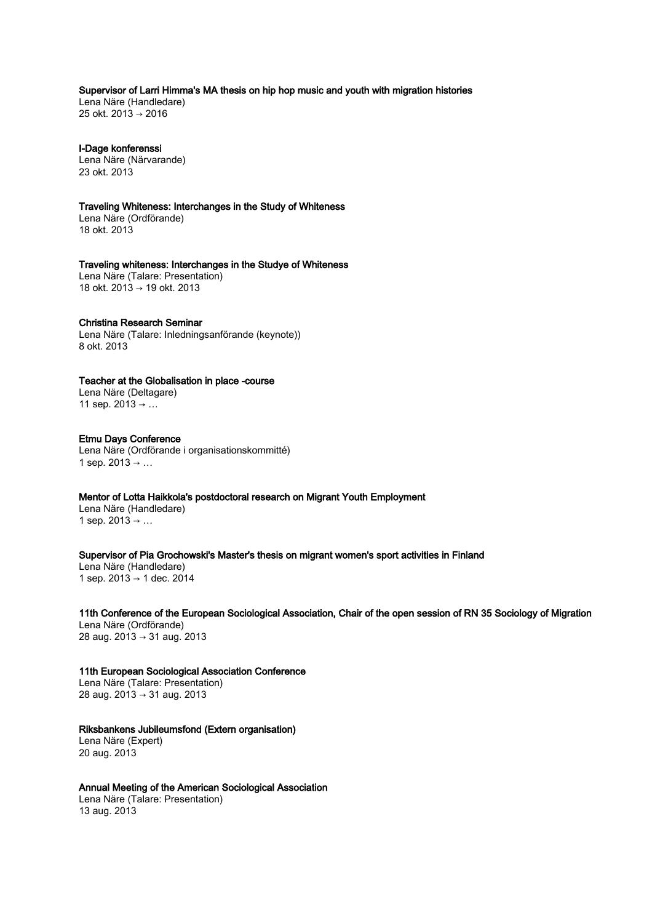Supervisor of Larri Himma's MA thesis on hip hop music and youth with migration histories

Lena Näre (Handledare) 25 okt. 2013 → 2016

I-Dage konferenssi Lena Näre (Närvarande) 23 okt. 2013

Traveling Whiteness: Interchanges in the Study of Whiteness

Lena Näre (Ordförande) 18 okt. 2013

Traveling whiteness: Interchanges in the Studye of Whiteness Lena Näre (Talare: Presentation) 18 okt. 2013 → 19 okt. 2013

#### Christina Research Seminar

Lena Näre (Talare: Inledningsanförande (keynote)) 8 okt. 2013

## Teacher at the Globalisation in place -course

Lena Näre (Deltagare) 11 sep.  $2013 → ...$ 

#### Etmu Days Conference Lena Näre (Ordförande i organisationskommitté) 1 sep.  $2013 → ...$

## Mentor of Lotta Haikkola's postdoctoral research on Migrant Youth Employment

Lena Näre (Handledare) 1 sep.  $2013 → ...$ 

## Supervisor of Pia Grochowski's Master's thesis on migrant women's sport activities in Finland

Lena Näre (Handledare) 1 sep. 2013 → 1 dec. 2014

11th Conference of the European Sociological Association, Chair of the open session of RN 35 Sociology of Migration Lena Näre (Ordförande)

28 aug. 2013 → 31 aug. 2013

#### 11th European Sociological Association Conference Lena Näre (Talare: Presentation)

28 aug. 2013 → 31 aug. 2013

# Riksbankens Jubileumsfond (Extern organisation)

Lena Näre (Expert) 20 aug. 2013

## Annual Meeting of the American Sociological Association

Lena Näre (Talare: Presentation) 13 aug. 2013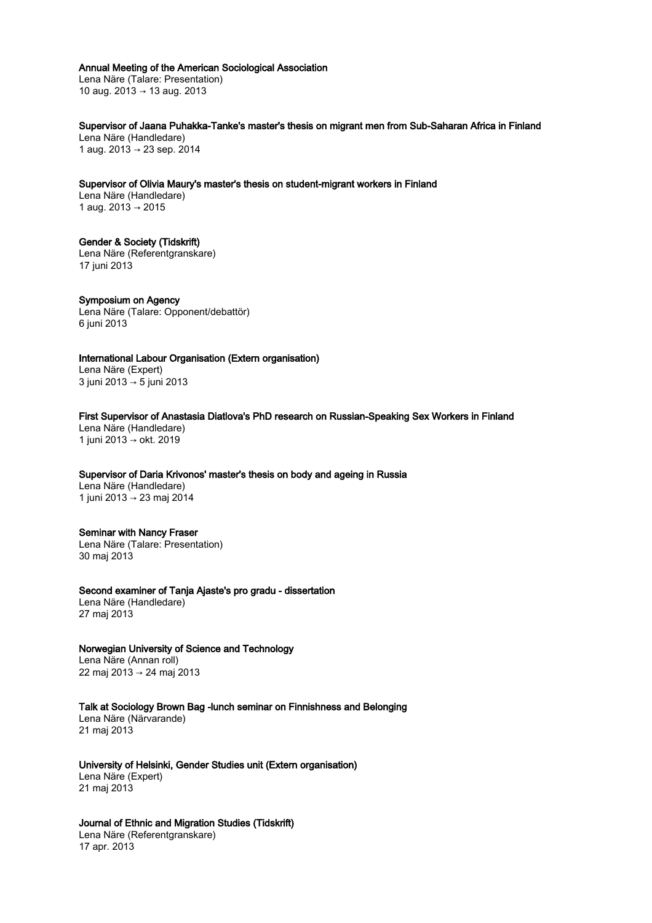#### Annual Meeting of the American Sociological Association

Lena Näre (Talare: Presentation) 10 aug. 2013 → 13 aug. 2013

Supervisor of Jaana Puhakka-Tanke's master's thesis on migrant men from Sub-Saharan Africa in Finland Lena Näre (Handledare) 1 aug. 2013 → 23 sep. 2014

Supervisor of Olivia Maury's master's thesis on student-migrant workers in Finland Lena Näre (Handledare) 1 aug. 2013 → 2015

## Gender & Society (Tidskrift)

Lena Näre (Referentgranskare) 17 juni 2013

Symposium on Agency Lena Näre (Talare: Opponent/debattör) 6 juni 2013

International Labour Organisation (Extern organisation) Lena Näre (Expert) 3 juni 2013 → 5 juni 2013

## First Supervisor of Anastasia Diatlova's PhD research on Russian-Speaking Sex Workers in Finland

Lena Näre (Handledare) 1 juni 2013 → okt. 2019

# Supervisor of Daria Krivonos' master's thesis on body and ageing in Russia

Lena Näre (Handledare) 1 juni 2013 → 23 maj 2014

#### Seminar with Nancy Fraser

Lena Näre (Talare: Presentation) 30 maj 2013

#### Second examiner of Tanja Ajaste's pro gradu - dissertation

Lena Näre (Handledare) 27 maj 2013

## Norwegian University of Science and Technology

Lena Näre (Annan roll) 22 maj 2013 → 24 maj 2013

#### Talk at Sociology Brown Bag -lunch seminar on Finnishness and Belonging

Lena Näre (Närvarande) 21 maj 2013

#### University of Helsinki, Gender Studies unit (Extern organisation) Lena Näre (Expert) 21 maj 2013

## Journal of Ethnic and Migration Studies (Tidskrift)

Lena Näre (Referentgranskare) 17 apr. 2013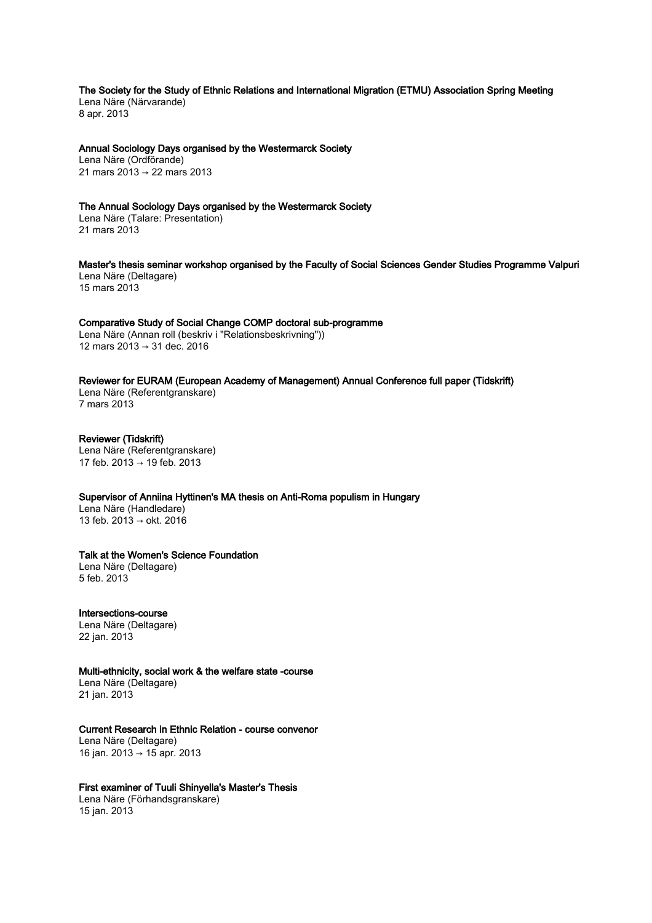The Society for the Study of Ethnic Relations and International Migration (ETMU) Association Spring Meeting Lena Näre (Närvarande)

8 apr. 2013

Annual Sociology Days organised by the Westermarck Society Lena Näre (Ordförande) 21 mars 2013 → 22 mars 2013

## The Annual Sociology Days organised by the Westermarck Society

Lena Näre (Talare: Presentation) 21 mars 2013

Master's thesis seminar workshop organised by the Faculty of Social Sciences Gender Studies Programme Valpuri Lena Näre (Deltagare) 15 mars 2013

Comparative Study of Social Change COMP doctoral sub-programme Lena Näre (Annan roll (beskriv i "Relationsbeskrivning")) 12 mars 2013 → 31 dec. 2016

## Reviewer for EURAM (European Academy of Management) Annual Conference full paper (Tidskrift)

Lena Näre (Referentgranskare) 7 mars 2013

Reviewer (Tidskrift) Lena Näre (Referentgranskare) 17 feb. 2013 → 19 feb. 2013

## Supervisor of Anniina Hyttinen's MA thesis on Anti-Roma populism in Hungary

Lena Näre (Handledare) 13 feb. 2013 → okt. 2016

# Talk at the Women's Science Foundation

Lena Näre (Deltagare) 5 feb. 2013

## Intersections-course

Lena Näre (Deltagare) 22 jan. 2013

## Multi-ethnicity, social work & the welfare state -course

Lena Näre (Deltagare) 21 jan. 2013

## Current Research in Ethnic Relation - course convenor

Lena Näre (Deltagare) 16 jan. 2013 → 15 apr. 2013

## First examiner of Tuuli Shinyella's Master's Thesis

Lena Näre (Förhandsgranskare) 15 jan. 2013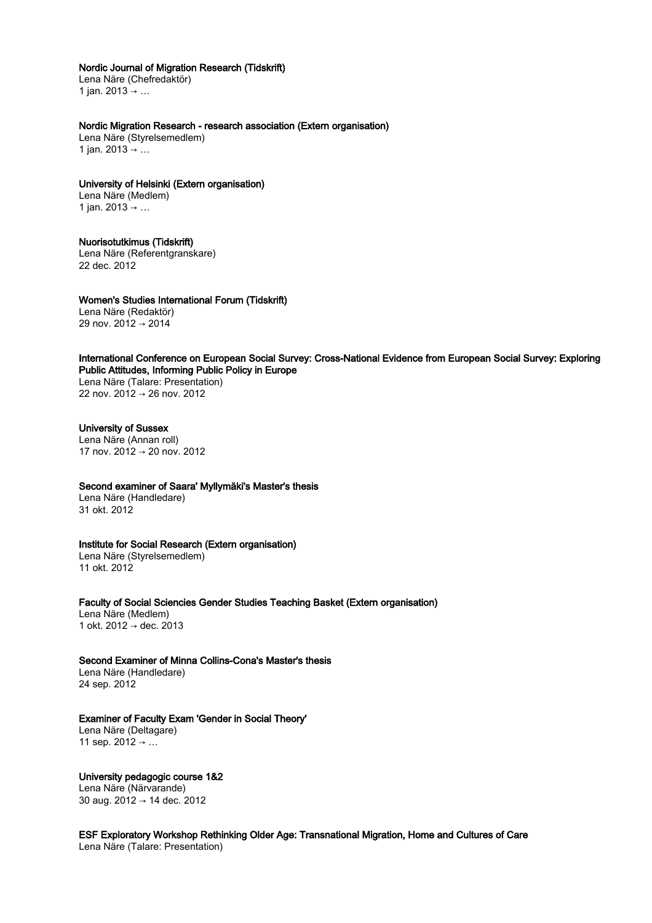#### Nordic Journal of Migration Research (Tidskrift)

Lena Näre (Chefredaktör) 1 jan. 2013 → …

## Nordic Migration Research - research association (Extern organisation)

Lena Näre (Styrelsemedlem) 1 jan. 2013 → …

## University of Helsinki (Extern organisation)

Lena Näre (Medlem) 1 jan. 2013 → …

## Nuorisotutkimus (Tidskrift)

Lena Näre (Referentgranskare) 22 dec. 2012

Women's Studies International Forum (Tidskrift) Lena Näre (Redaktör) 29 nov. 2012 → 2014

## International Conference on European Social Survey: Cross-National Evidence from European Social Survey: Exploring Public Attitudes, Informing Public Policy in Europe

Lena Näre (Talare: Presentation) 22 nov. 2012 → 26 nov. 2012

## University of Sussex

Lena Näre (Annan roll) 17 nov. 2012 → 20 nov. 2012

#### Second examiner of Saara' Myllymäki's Master's thesis

Lena Näre (Handledare) 31 okt. 2012

## Institute for Social Research (Extern organisation)

Lena Näre (Styrelsemedlem) 11 okt. 2012

Faculty of Social Sciencies Gender Studies Teaching Basket (Extern organisation) Lena Näre (Medlem) 1 okt. 2012 → dec. 2013

## Second Examiner of Minna Collins-Cona's Master's thesis

Lena Näre (Handledare) 24 sep. 2012

## Examiner of Faculty Exam 'Gender in Social Theory'

Lena Näre (Deltagare) 11 sep.  $2012 → ...$ 

University pedagogic course 1&2 Lena Näre (Närvarande) 30 aug. 2012 → 14 dec. 2012

ESF Exploratory Workshop Rethinking Older Age: Transnational Migration, Home and Cultures of Care Lena Näre (Talare: Presentation)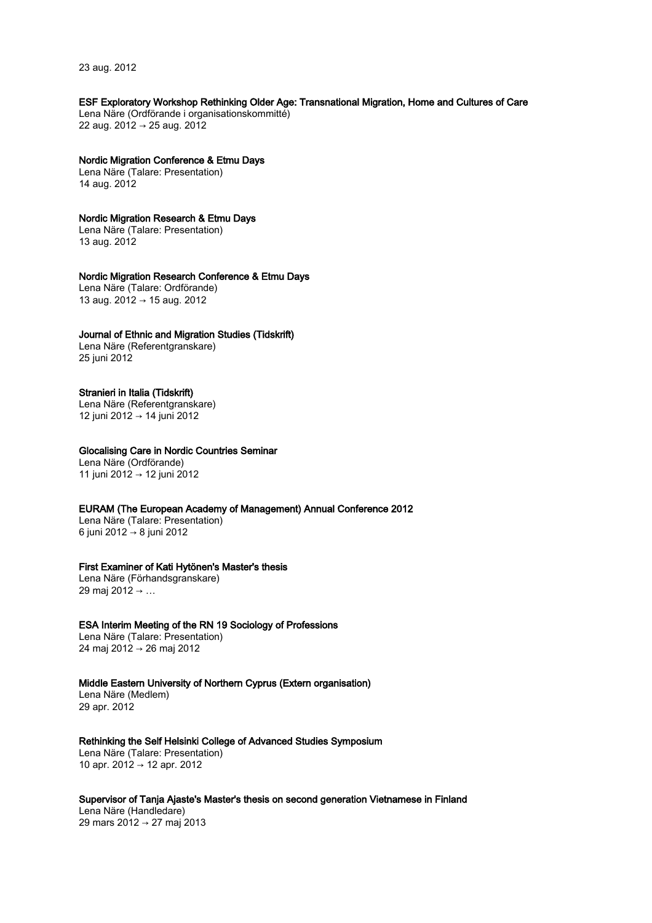23 aug. 2012

### ESF Exploratory Workshop Rethinking Older Age: Transnational Migration, Home and Cultures of Care

Lena Näre (Ordförande i organisationskommitté) 22 aug. 2012 → 25 aug. 2012

## Nordic Migration Conference & Etmu Days

Lena Näre (Talare: Presentation) 14 aug. 2012

## Nordic Migration Research & Etmu Days

Lena Näre (Talare: Presentation) 13 aug. 2012

#### Nordic Migration Research Conference & Etmu Days

Lena Näre (Talare: Ordförande) 13 aug. 2012 → 15 aug. 2012

#### Journal of Ethnic and Migration Studies (Tidskrift)

Lena Näre (Referentgranskare) 25 juni 2012

#### Stranieri in Italia (Tidskrift)

Lena Näre (Referentgranskare) 12 juni 2012 → 14 juni 2012

## Glocalising Care in Nordic Countries Seminar

Lena Näre (Ordförande) 11 juni 2012 → 12 juni 2012

## EURAM (The European Academy of Management) Annual Conference 2012

Lena Näre (Talare: Presentation) 6 juni 2012 → 8 juni 2012

#### First Examiner of Kati Hytönen's Master's thesis

Lena Näre (Förhandsgranskare) 29 maj 2012 → …

#### ESA Interim Meeting of the RN 19 Sociology of Professions

Lena Näre (Talare: Presentation) 24 maj 2012 → 26 maj 2012

## Middle Eastern University of Northern Cyprus (Extern organisation)

Lena Näre (Medlem) 29 apr. 2012

#### Rethinking the Self Helsinki College of Advanced Studies Symposium

Lena Näre (Talare: Presentation) 10 apr. 2012 → 12 apr. 2012

## Supervisor of Tanja Ajaste's Master's thesis on second generation Vietnamese in Finland

Lena Näre (Handledare) 29 mars 2012 → 27 maj 2013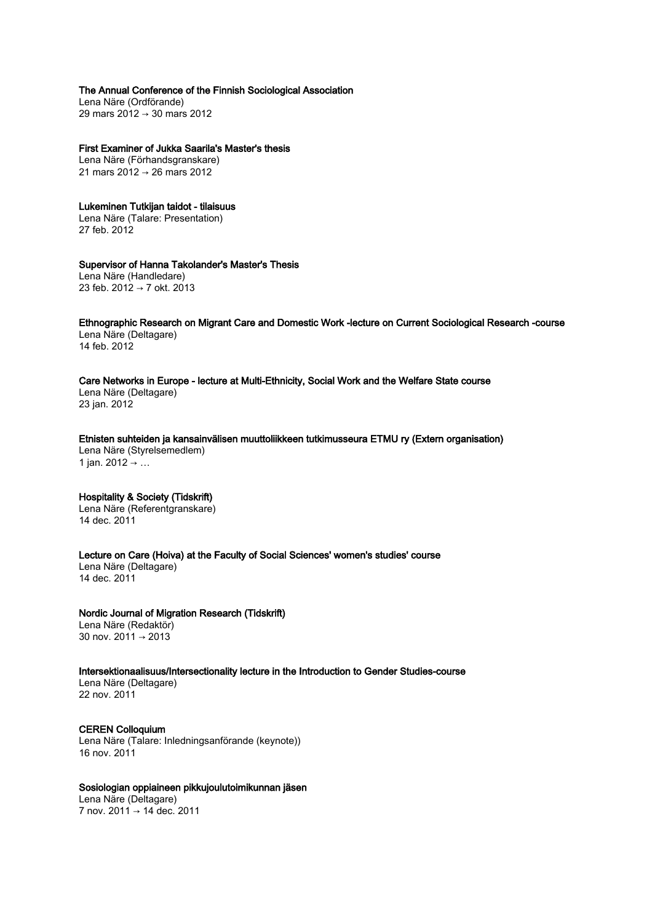The Annual Conference of the Finnish Sociological Association Lena Näre (Ordförande)

29 mars 2012 → 30 mars 2012

First Examiner of Jukka Saarila's Master's thesis Lena Näre (Förhandsgranskare)

21 mars 2012 → 26 mars 2012

Lukeminen Tutkijan taidot - tilaisuus Lena Näre (Talare: Presentation) 27 feb. 2012

## Supervisor of Hanna Takolander's Master's Thesis

Lena Näre (Handledare) 23 feb. 2012 → 7 okt. 2013

Ethnographic Research on Migrant Care and Domestic Work -lecture on Current Sociological Research -course Lena Näre (Deltagare)

14 feb. 2012

## Care Networks in Europe - lecture at Multi-Ethnicity, Social Work and the Welfare State course

Lena Näre (Deltagare) 23 jan. 2012

Etnisten suhteiden ja kansainvälisen muuttoliikkeen tutkimusseura ETMU ry (Extern organisation) Lena Näre (Styrelsemedlem) 1 jan. 2012 → ...

## Hospitality & Society (Tidskrift)

Lena Näre (Referentgranskare) 14 dec. 2011

Lecture on Care (Hoiva) at the Faculty of Social Sciences' women's studies' course Lena Näre (Deltagare) 14 dec. 2011

Nordic Journal of Migration Research (Tidskrift) Lena Näre (Redaktör) 30 nov. 2011 → 2013

Intersektionaalisuus/Intersectionality lecture in the Introduction to Gender Studies-course Lena Näre (Deltagare) 22 nov. 2011

CEREN Colloquium Lena Näre (Talare: Inledningsanförande (keynote)) 16 nov. 2011

## Sosiologian oppiaineen pikkujoulutoimikunnan jäsen

Lena Näre (Deltagare) 7 nov. 2011 → 14 dec. 2011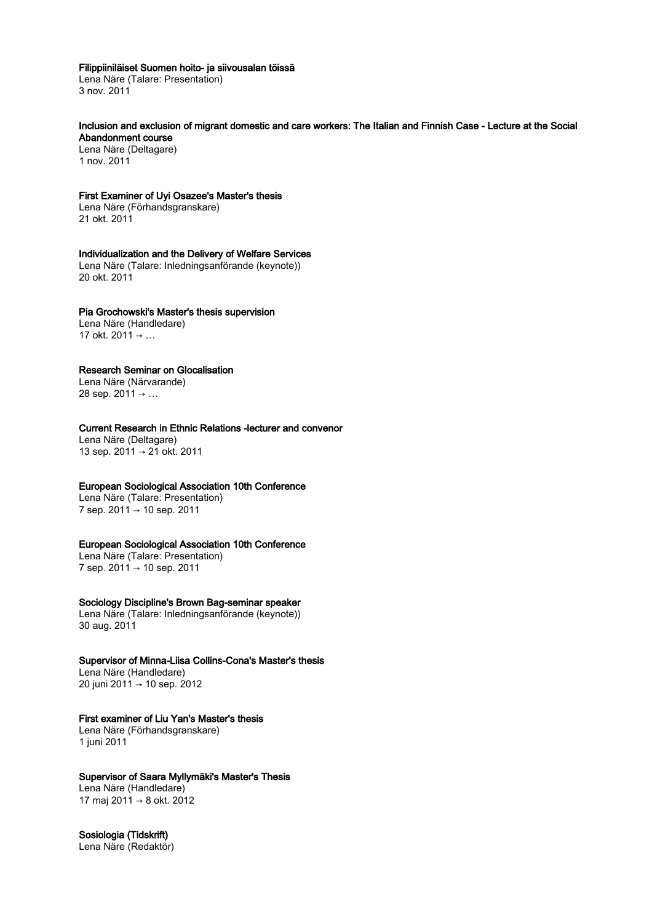#### Filippiiniläiset Suomen hoito- ja siivousalan töissä

Lena Näre (Talare: Presentation) 3 nov. 2011

#### Inclusion and exclusion of migrant domestic and care workers: The Italian and Finnish Case - Lecture at the Social Abandonment course

Lena Näre (Deltagare) 1 nov. 2011

#### First Examiner of Uyi Osazee's Master's thesis

Lena Näre (Förhandsgranskare) 21 okt. 2011

## Individualization and the Delivery of Welfare Services

Lena Näre (Talare: Inledningsanförande (keynote)) 20 okt. 2011

## Pia Grochowski's Master's thesis supervision

Lena Näre (Handledare) 17 okt. 2011 → …

## Research Seminar on Glocalisation

Lena Näre (Närvarande) 28 sep. 2011 → …

## Current Research in Ethnic Relations -lecturer and convenor

Lena Näre (Deltagare) 13 sep. 2011 → 21 okt. 2011

## European Sociological Association 10th Conference

Lena Näre (Talare: Presentation) 7 sep. 2011 → 10 sep. 2011

#### European Sociological Association 10th Conference

Lena Näre (Talare: Presentation) 7 sep. 2011 → 10 sep. 2011

## Sociology Discipline's Brown Bag-seminar speaker

Lena Näre (Talare: Inledningsanförande (keynote)) 30 aug. 2011

## Supervisor of Minna-Liisa Collins-Cona's Master's thesis

Lena Näre (Handledare) 20 juni 2011 → 10 sep. 2012

## First examiner of Liu Yan's Master's thesis

Lena Näre (Förhandsgranskare) 1 juni 2011

## Supervisor of Saara Myllymäki's Master's Thesis

Lena Näre (Handledare) 17 maj 2011 → 8 okt. 2012

# Sosiologia (Tidskrift)

Lena Näre (Redaktör)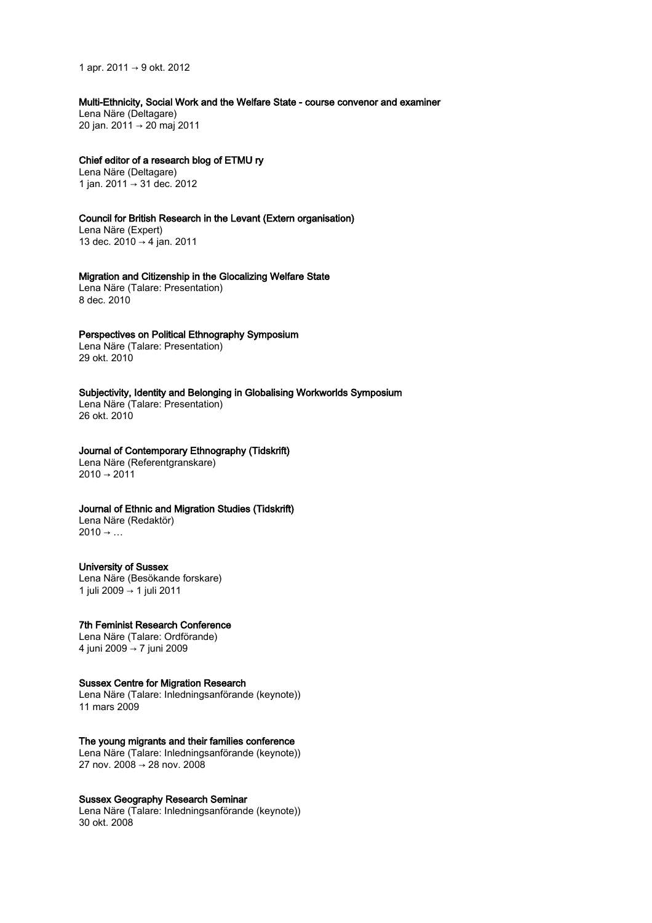1 apr. 2011 → 9 okt. 2012

Multi-Ethnicity, Social Work and the Welfare State - course convenor and examiner

Lena Näre (Deltagare) 20 jan. 2011 → 20 maj 2011

#### Chief editor of a research blog of ETMU ry

Lena Näre (Deltagare) 1 jan. 2011 → 31 dec. 2012

## Council for British Research in the Levant (Extern organisation)

Lena Näre (Expert) 13 dec. 2010 → 4 jan. 2011

#### Migration and Citizenship in the Glocalizing Welfare State

Lena Näre (Talare: Presentation) 8 dec. 2010

#### Perspectives on Political Ethnography Symposium

Lena Näre (Talare: Presentation) 29 okt. 2010

Subjectivity, Identity and Belonging in Globalising Workworlds Symposium Lena Näre (Talare: Presentation) 26 okt. 2010

## Journal of Contemporary Ethnography (Tidskrift)

Lena Näre (Referentgranskare)  $2010 \rightarrow 2011$ 

## Journal of Ethnic and Migration Studies (Tidskrift)

Lena Näre (Redaktör)  $2010 \rightarrow ...$ 

#### University of Sussex

Lena Näre (Besökande forskare) 1 juli 2009 → 1 juli 2011

#### 7th Feminist Research Conference

Lena Näre (Talare: Ordförande) 4 juni 2009 → 7 juni 2009

#### Sussex Centre for Migration Research

Lena Näre (Talare: Inledningsanförande (keynote)) 11 mars 2009

### The young migrants and their families conference

Lena Näre (Talare: Inledningsanförande (keynote)) 27 nov. 2008 → 28 nov. 2008

#### Sussex Geography Research Seminar

Lena Näre (Talare: Inledningsanförande (keynote)) 30 okt. 2008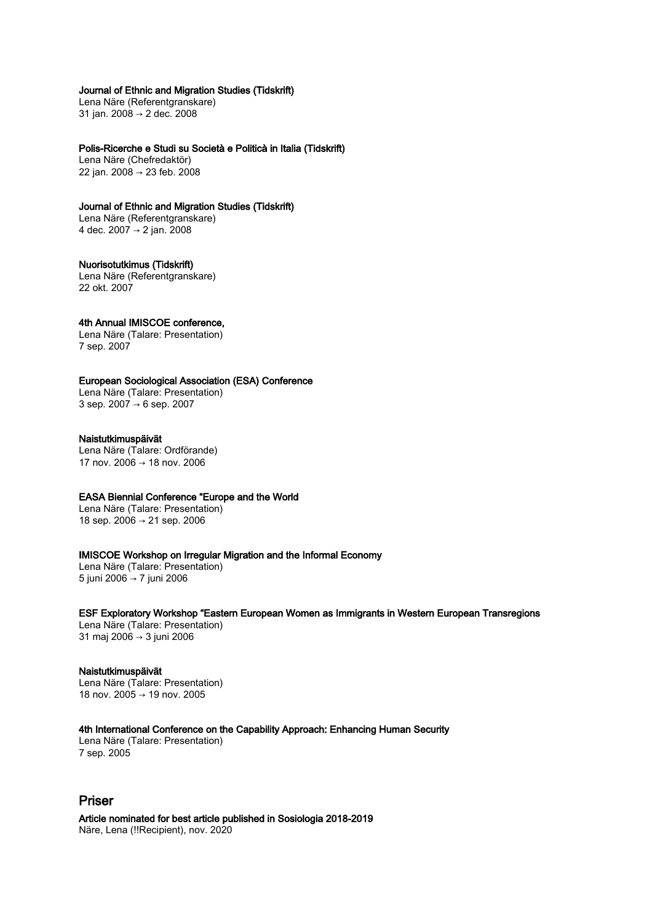## Journal of Ethnic and Migration Studies (Tidskrift)

Lena Näre (Referentgranskare) 31 jan. 2008 → 2 dec. 2008

Polis-Ricerche e Studi su Società e Politicà in Italia (Tidskrift)

Lena Näre (Chefredaktör) 22 jan. 2008 → 23 feb. 2008

## Journal of Ethnic and Migration Studies (Tidskrift)

Lena Näre (Referentgranskare) 4 dec. 2007 → 2 jan. 2008

# Nuorisotutkimus (Tidskrift)

Lena Näre (Referentgranskare) 22 okt. 2007

## 4th Annual IMISCOE conference,

Lena Näre (Talare: Presentation) 7 sep. 2007

## European Sociological Association (ESA) Conference

Lena Näre (Talare: Presentation) 3 sep. 2007 → 6 sep. 2007

## Naistutkimuspäivät

Lena Näre (Talare: Ordförande) 17 nov. 2006 → 18 nov. 2006

## EASA Biennial Conference "Europe and the World

Lena Näre (Talare: Presentation) 18 sep. 2006 → 21 sep. 2006

## IMISCOE Workshop on Irregular Migration and the Informal Economy

Lena Näre (Talare: Presentation) 5 juni 2006 → 7 juni 2006

# ESF Exploratory Workshop "Eastern European Women as Immigrants in Western European Transregions

Lena Näre (Talare: Presentation) 31 maj 2006 → 3 juni 2006

## Naistutkimuspäivät

Lena Näre (Talare: Presentation) 18 nov. 2005 → 19 nov. 2005

## 4th International Conference on the Capability Approach: Enhancing Human Security

Lena Näre (Talare: Presentation) 7 sep. 2005

# Priser

Article nominated for best article published in Sosiologia 2018-2019 Näre, Lena (!!Recipient), nov. 2020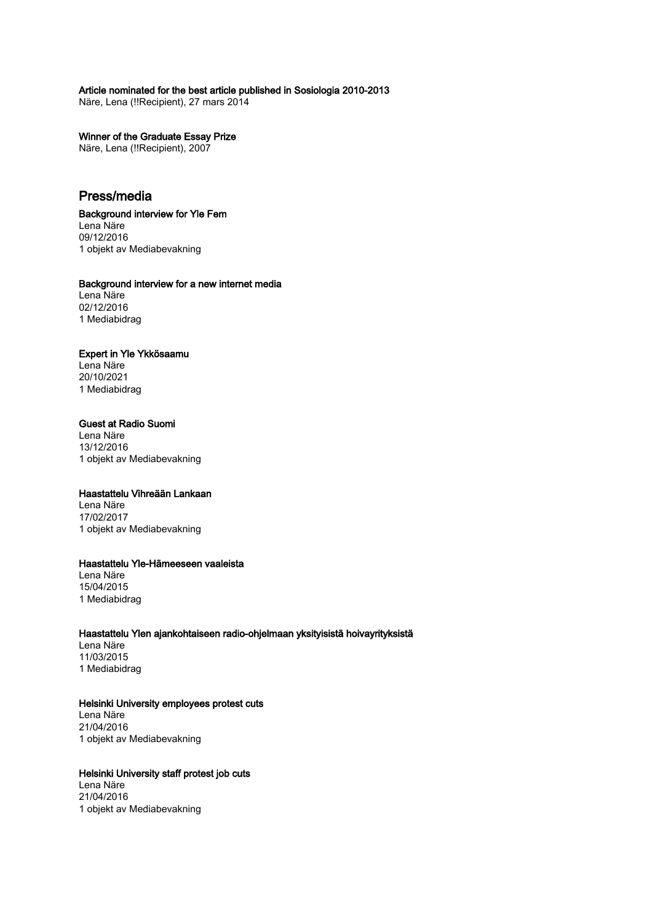## Article nominated for the best article published in Sosiologia 2010-2013

Näre, Lena (!!Recipient), 27 mars 2014

# Winner of the Graduate Essay Prize

Näre, Lena (!!Recipient), 2007

# Press/media

Background interview for Yle Fem Lena Näre 09/12/2016 1 objekt av Mediabevakning

## Background interview for a new internet media

Lena Näre 02/12/2016 1 Mediabidrag

## Expert in Yle Ykkösaamu

Lena Näre 20/10/2021 1 Mediabidrag

# Guest at Radio Suomi

Lena Näre 13/12/2016 1 objekt av Mediabevakning

## Haastattelu Vihreään Lankaan

Lena Näre 17/02/2017 1 objekt av Mediabevakning

## Haastattelu Yle-Hämeeseen vaaleista

Lena Näre 15/04/2015 1 Mediabidrag

## Haastattelu Ylen ajankohtaiseen radio-ohjelmaan yksityisistä hoivayrityksistä

Lena Näre 11/03/2015 1 Mediabidrag

## Helsinki University employees protest cuts

Lena Näre 21/04/2016 1 objekt av Mediabevakning

## Helsinki University staff protest job cuts

Lena Näre 21/04/2016 1 objekt av Mediabevakning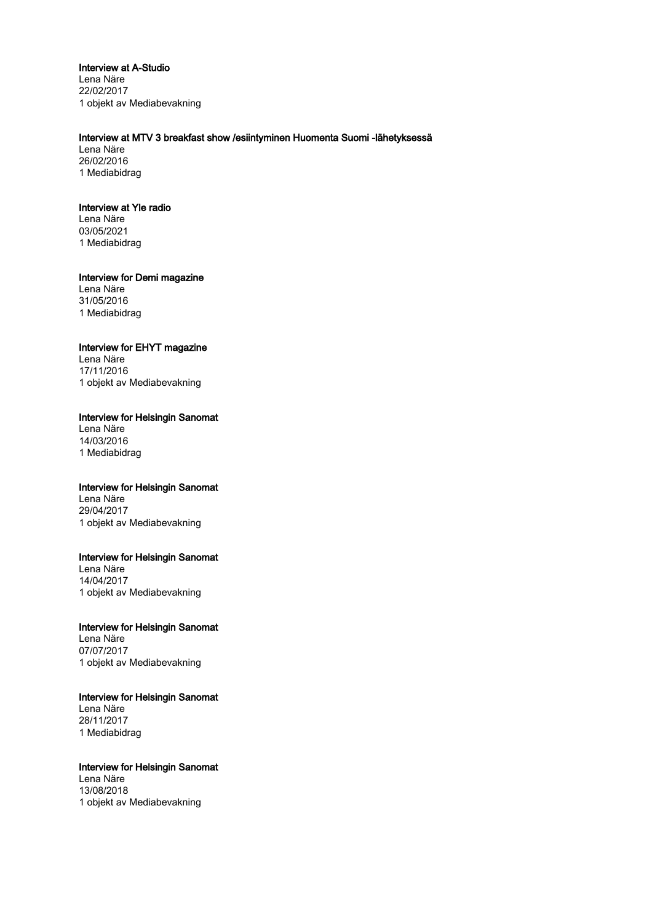## Interview at A-Studio

Lena Näre 22/02/2017 1 objekt av Mediabevakning

## Interview at MTV 3 breakfast show /esiintyminen Huomenta Suomi -lähetyksessä

Lena Näre 26/02/2016 1 Mediabidrag

## Interview at Yle radio

Lena Näre 03/05/2021 1 Mediabidrag

#### Interview for Demi magazine

Lena Näre 31/05/2016 1 Mediabidrag

#### Interview for EHYT magazine

Lena Näre 17/11/2016 1 objekt av Mediabevakning

## Interview for Helsingin Sanomat

Lena Näre 14/03/2016 1 Mediabidrag

### Interview for Helsingin Sanomat

Lena Näre 29/04/2017 1 objekt av Mediabevakning

#### Interview for Helsingin Sanomat

Lena Näre 14/04/2017 1 objekt av Mediabevakning

#### Interview for Helsingin Sanomat

Lena Näre 07/07/2017 1 objekt av Mediabevakning

## Interview for Helsingin Sanomat

Lena Näre 28/11/2017 1 Mediabidrag

## Interview for Helsingin Sanomat Lena Näre

13/08/2018 1 objekt av Mediabevakning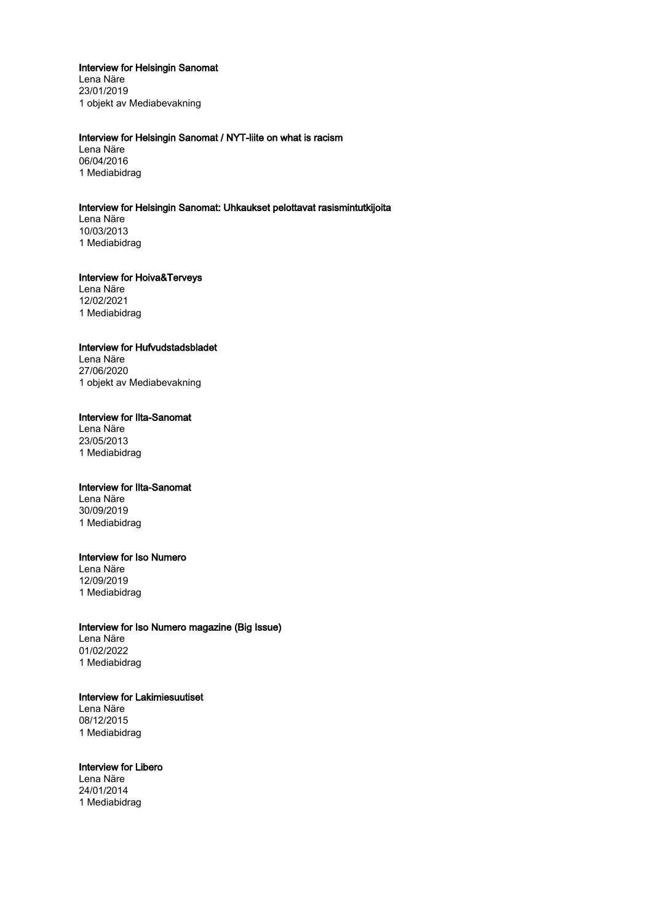## Interview for Helsingin Sanomat

Lena Näre 23/01/2019 1 objekt av Mediabevakning

## Interview for Helsingin Sanomat / NYT-liite on what is racism

Lena Näre 06/04/2016 1 Mediabidrag

## Interview for Helsingin Sanomat: Uhkaukset pelottavat rasismintutkijoita

Lena Näre 10/03/2013 1 Mediabidrag

#### Interview for Hoiva&Terveys

Lena Näre 12/02/2021 1 Mediabidrag

#### Interview for Hufvudstadsbladet

Lena Näre 27/06/2020 1 objekt av Mediabevakning

## Interview for Ilta-Sanomat

Lena Näre 23/05/2013 1 Mediabidrag

#### Interview for Ilta-Sanomat

Lena Näre 30/09/2019 1 Mediabidrag

#### Interview for Iso Numero

Lena Näre 12/09/2019 1 Mediabidrag

#### Interview for Iso Numero magazine (Big Issue)

Lena Näre 01/02/2022 1 Mediabidrag

# Interview for Lakimiesuutiset

Lena Näre 08/12/2015 1 Mediabidrag

#### Interview for Libero

Lena Näre 24/01/2014 1 Mediabidrag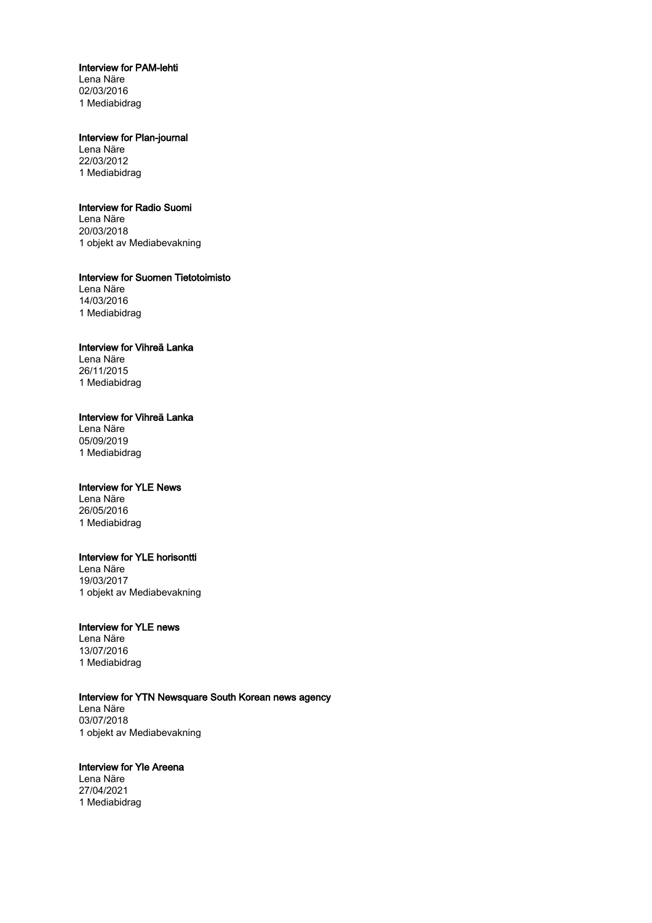## Interview for PAM-lehti

Lena Näre 02/03/2016 1 Mediabidrag

## Interview for Plan-journal

Lena Näre 22/03/2012 1 Mediabidrag

## Interview for Radio Suomi

Lena Näre 20/03/2018 1 objekt av Mediabevakning

Interview for Suomen Tietotoimisto Lena Näre 14/03/2016

1 Mediabidrag

## Interview for Vihreä Lanka

Lena Näre 26/11/2015 1 Mediabidrag

## Interview for Vihreä Lanka

Lena Näre 05/09/2019 1 Mediabidrag

#### Interview for YLE News

Lena Näre 26/05/2016 1 Mediabidrag

#### Interview for YLE horisontti

Lena Näre 19/03/2017 1 objekt av Mediabevakning

## Interview for YLE news

Lena Näre 13/07/2016 1 Mediabidrag

## Interview for YTN Newsquare South Korean news agency

Lena Näre 03/07/2018 1 objekt av Mediabevakning

## Interview for Yle Areena

Lena Näre 27/04/2021 1 Mediabidrag